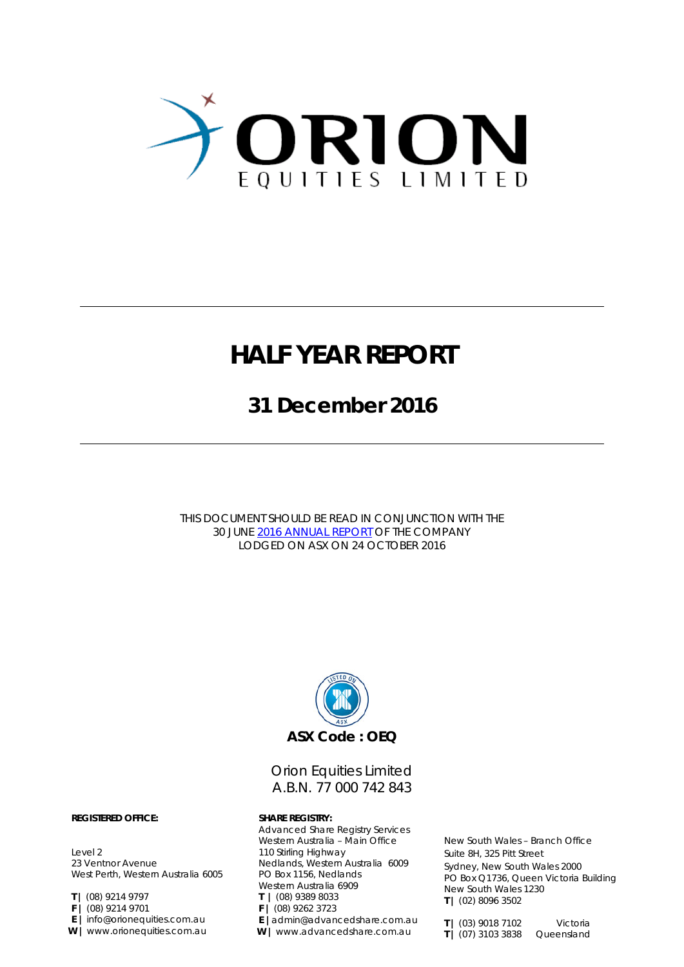

# **HALF YEAR REPORT**

**31 December 2016**

THIS DOCUMENT SHOULD BE READ IN CONJUNCTION WITH THE 30 JUNE 2016 [ANNUAL REPORT](http://www.orionequities.com.au/sites/default/files/20161024%20OEQ%20ASX%20Annual%20Report%20%E2%80%93%202016.pdf) OF THE COMPANY LODGED ON ASX ON 24 OCTOBER 2016



Orion Equities Limited A.B.N. 77 000 742 843

Advanced Share Registry Services Western Australia – Main Office 110 Stirling Highway Nedlands, Western Australia 6009 PO Box 1156, Nedlands Western Australia 6909 **T |** (08) 9389 8033 **F |** (08) 9262 3723 **E |**admin@advancedshare.com.au **W |** www.advancedshare.com.au

New South Wales – Branch Office Suite 8H, 325 Pitt Street Sydney, New South Wales 2000 PO Box Q1736, Queen Victoria Building New South Wales 1230 **T |** (02) 8096 3502

#### **REGISTERED OFFICE: SHARE REGISTRY:**

Level 2 23 Ventnor Avenue West Perth, Western Australia 6005

- **T |** (08) 9214 9797
- **F |** (08) 9214 9701
- **E |** info@orionequities.com.au
- **W |** www.orionequities.com.au

**T |** (03) 9018 7102 Victoria **T |** (07) 3103 3838 Queensland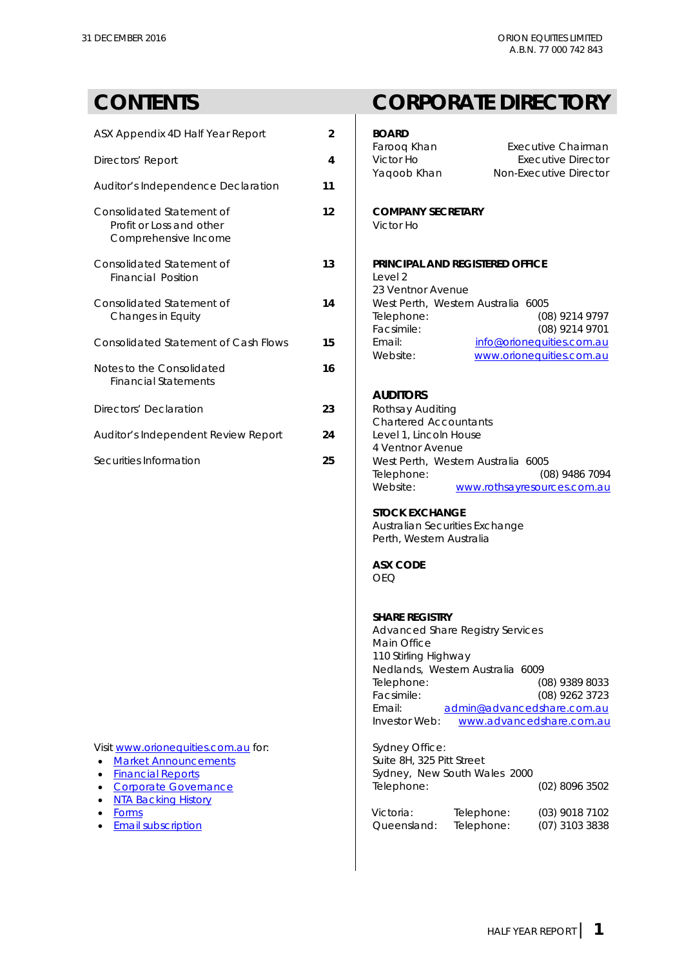| ASX Appendix 4D Half Year Report                                              | $\mathfrak{p}$ | <b>BOARD</b>                                     |                                                                                  |  |
|-------------------------------------------------------------------------------|----------------|--------------------------------------------------|----------------------------------------------------------------------------------|--|
| Directors' Report                                                             | 4              | Farooq Khan<br>Victor Ho<br>Yaqoob Khan          | <b>Executive Chairman</b><br><b>Executive Director</b><br>Non-Executive Director |  |
| Auditor's Independence Declaration                                            | 11             |                                                  |                                                                                  |  |
| Consolidated Statement of<br>Profit or Loss and other<br>Comprehensive Income | 12             | <b>COMPANY SECRETARY</b><br>Victor Ho            |                                                                                  |  |
| Consolidated Statement of<br><b>Financial Position</b>                        | 13             | Level 2<br>23 Ventnor Avenue                     | PRINCIPAL AND REGISTERED OFFICE                                                  |  |
| Consolidated Statement of<br>Changes in Equity                                | 14             | Telephone:<br>Facsimile:                         | West Perth, Western Australia 6005<br>(08) 9214 9797<br>(08) 9214 9701           |  |
| Consolidated Statement of Cash Flows                                          | 15             | Email:<br>Website:                               | info@orionequities.com.au<br>www.orionequities.com.au                            |  |
| Notes to the Consolidated<br><b>Financial Statements</b>                      | 16             | <b>AUDITORS</b>                                  |                                                                                  |  |
| Directors' Declaration                                                        | 23             | Rothsay Auditing<br><b>Chartered Accountants</b> |                                                                                  |  |
| Auditor's Independent Review Report                                           | 24             | Level 1, Lincoln House<br>4 Ventnor Avenue       |                                                                                  |  |
| Securities Information                                                        | 25             |                                                  | West Perth, Western Australia 6005<br>$T_{\Omega}$ $(00)$ $0.104$ $700$          |  |

- [Market Announcements](http://www.orionequities.com.au/reports/2)
- $\bullet$  [Financial Reports](http://www.orionequities.com.au/reports/6)
- [Corporate Governance](http://www.orionequities.com.au/corporate-governance)
- [NTA Backing History](http://www.orionequities.com.au/reports/10)<br>• Forms
- 
- Email subscription

### **CONTENTS CORPORATE DIRECTORY**

| <b>ASX Appendix 4D Half Year Report</b>                                                                                                                                                                 | $\overline{2}$ | <b>BOARD</b><br>Farooq Khan<br><b>Executive Chairman</b>                                                                                                                                                                                                                                         |
|---------------------------------------------------------------------------------------------------------------------------------------------------------------------------------------------------------|----------------|--------------------------------------------------------------------------------------------------------------------------------------------------------------------------------------------------------------------------------------------------------------------------------------------------|
| Directors' Report                                                                                                                                                                                       | 4              | Victor Ho<br><b>Executive Director</b><br>Yaqoob Khan<br>Non-Executive Director                                                                                                                                                                                                                  |
| Auditor's Independence Declaration                                                                                                                                                                      | 11             |                                                                                                                                                                                                                                                                                                  |
| Consolidated Statement of<br>Profit or Loss and other<br>Comprehensive Income                                                                                                                           | 12             | <b>COMPANY SECRETARY</b><br>Victor Ho                                                                                                                                                                                                                                                            |
| Consolidated Statement of<br><b>Financial Position</b>                                                                                                                                                  | 13             | PRINCIPAL AND REGISTERED OFFICE<br>Level 2<br>23 Ventnor Avenue                                                                                                                                                                                                                                  |
| Consolidated Statement of<br>Changes in Equity                                                                                                                                                          | 14             | West Perth, Western Australia 6005<br>(08) 9214 9797<br>Telephone:<br>Facsimile:<br>(08) 9214 9701                                                                                                                                                                                               |
| Consolidated Statement of Cash Flows                                                                                                                                                                    | 15             | Email:<br>info@orionequities.com.au<br>Website:<br>www.orionequities.com.au                                                                                                                                                                                                                      |
| <b>Notes to the Consolidated</b><br><b>Financial Statements</b>                                                                                                                                         | 16             |                                                                                                                                                                                                                                                                                                  |
| Directors' Declaration                                                                                                                                                                                  | 23             | <b>AUDITORS</b><br>Rothsay Auditing<br><b>Chartered Accountants</b>                                                                                                                                                                                                                              |
| Auditor's Independent Review Report                                                                                                                                                                     | 24             | Level 1, Lincoln House<br>4 Ventnor Avenue                                                                                                                                                                                                                                                       |
| ecurities Information                                                                                                                                                                                   | 25             | West Perth, Western Australia 6005<br>Telephone:<br>(08) 9486 7094<br>Website:<br>www.rothsayresources.com.au<br><b>STOCK EXCHANGE</b><br>Australian Securities Exchange<br>Perth, Western Australia<br><b>ASX CODE</b><br><b>OEQ</b>                                                            |
|                                                                                                                                                                                                         |                | <b>SHARE REGISTRY</b><br><b>Advanced Share Registry Services</b><br>Main Office<br>110 Stirling Highway<br>Nedlands, Western Australia 6009<br>Telephone:<br>(08) 9389 8033<br>Facsimile:<br>(08) 9262 3723<br>Email:<br>admin@advancedshare.com.au<br>Investor Web:<br>www.advancedshare.com.au |
| lisit www.orionequities.com.au for:<br><b>Market Announcements</b><br>$\bullet$<br><b>Financial Reports</b><br>$\bullet$<br><b>Corporate Governance</b><br>$\bullet$<br><b>NTA Backing History</b><br>٠ |                | <b>Sydney Office:</b><br>Suite 8H, 325 Pitt Street<br>Sydney, New South Wales 2000<br>Telephone:<br>(02) 8096 3502                                                                                                                                                                               |
| <b>Forms</b><br>٠<br><b>Email subscription</b>                                                                                                                                                          |                | Victoria:<br>Telephone:<br>$(03)$ 9018 7102<br>Telephone:<br>Queensland:<br>(07) 3103 3838                                                                                                                                                                                                       |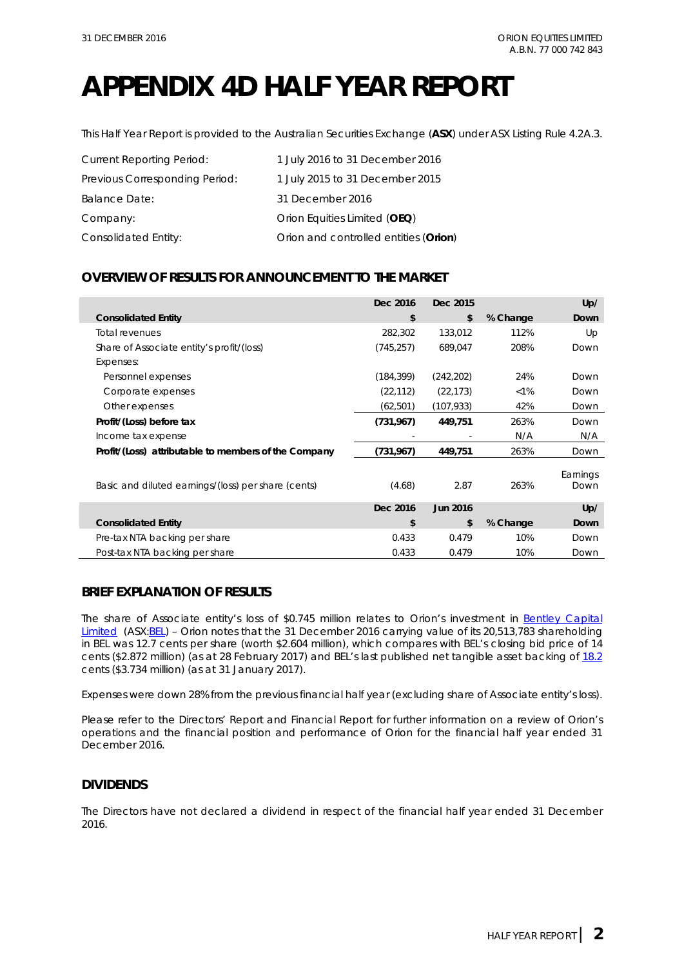# **APPENDIX 4D HALF YEAR REPORT**

This Half Year Report is provided to the Australian Securities Exchange (**ASX**) under ASX Listing Rule 4.2A.3.

| <b>Current Reporting Period:</b> | 1 July 2016 to 31 December 2016       |
|----------------------------------|---------------------------------------|
| Previous Corresponding Period:   | 1 July 2015 to 31 December 2015       |
| <b>Balance Date:</b>             | 31 December 2016                      |
| Company:                         | Orion Equities Limited (OEQ)          |
| Consolidated Entity:             | Orion and controlled entities (Orion) |

### **OVERVIEW OF RESULTS FOR ANNOUNCEMENT TO THE MARKET**

|                                                      | Dec 2016   | Dec 2015        |          | Up/              |
|------------------------------------------------------|------------|-----------------|----------|------------------|
| <b>Consolidated Entity</b>                           | \$         | \$              | % Change | Down             |
| <b>Total revenues</b>                                | 282,302    | 133,012         | 112%     | Up               |
| Share of Associate entity's profit/(loss)            | (745, 257) | 689,047         | 208%     | Down             |
| Expenses:                                            |            |                 |          |                  |
| Personnel expenses                                   | (184, 399) | (242, 202)      | 24%      | Down             |
| Corporate expenses                                   | (22, 112)  | (22, 173)       | $< 1\%$  | Down             |
| Other expenses                                       | (62, 501)  | (107, 933)      | 42%      | Down             |
| Profit/(Loss) before tax                             | (731, 967) | 449,751         | 263%     | Down             |
| Income tax expense                                   |            |                 | N/A      | N/A              |
| Profit/(Loss) attributable to members of the Company | (731,967)  | 449,751         | 263%     | Down             |
| Basic and diluted earnings/(loss) per share (cents)  | (4.68)     | 2.87            | 263%     | Earnings<br>Down |
|                                                      | Dec 2016   | <b>Jun 2016</b> |          | Up/              |
| <b>Consolidated Entity</b>                           | \$         | \$              | % Change | Down             |
| Pre-tax NTA backing per share                        | 0.433      | 0.479           | 10%      | Down             |
| Post-tax NTA backing per share                       | 0.433      | 0.479           | 10%      | Down             |

### **BRIEF EXPLANATION OF RESULTS**

The share of Associate entity's loss of \$0.745 million relates to Orion's investment in Bentley Capital [Limited](http://www.bel.com.au/sites/default/files/20150731%20BEL%20ASX%20Despatch%20of%20Bidders%20Statement%20to%20Holders%20of%20SRK.pdf) (ASX: BEL) - Orion notes that the 31 December 2016 carrying value of its 20,513,783 shareholding in BEL was 12.7 cents per share (worth \$2.604 million), which compares with BEL's closing bid price of 14 cents (\$2.872 million) (as at 28 February 2017) and BEL's last published net tangible asset backing of [18.2](http://www.asx.com.au/asxpdf/20170214/pdf/43g045vp5wnnf0.pdf) cents (\$3.734 million) (as at 31 January 2017).

Expenses were down 28% from the previous financial half year (excluding share of Associate entity's loss).

Please refer to the Directors' Report and Financial Report for further information on a review of Orion's operations and the financial position and performance of Orion for the financial half year ended 31 December 2016.

### **DIVIDENDS**

The Directors have not declared a dividend in respect of the financial half year ended 31 December 2016.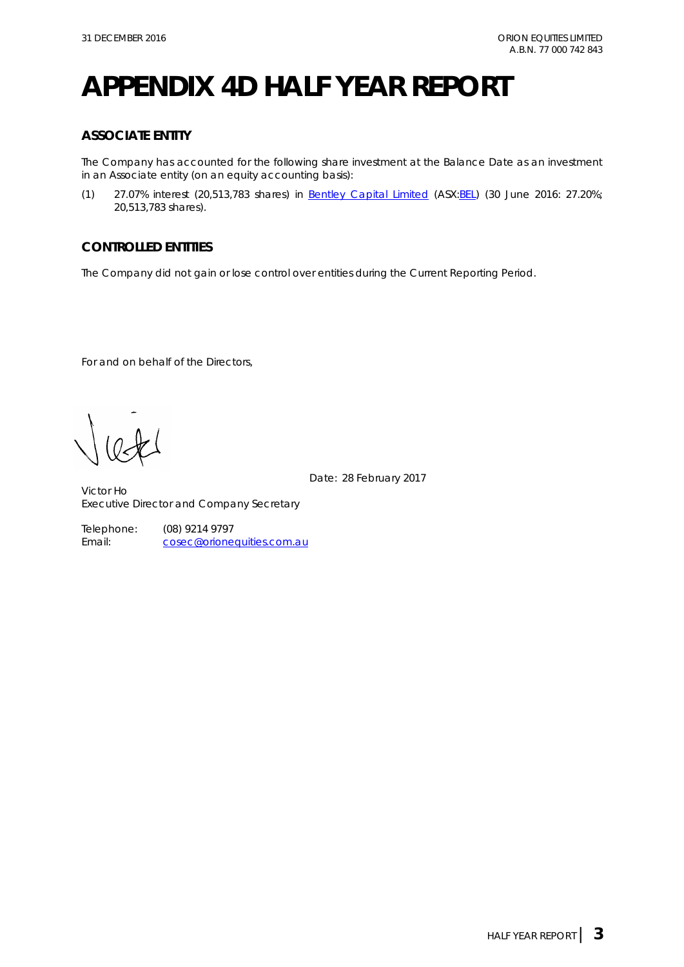# **APPENDIX 4D HALF YEAR REPORT**

### **ASSOCIATE ENTITY**

The Company has accounted for the following share investment at the Balance Date as an investment in an Associate entity (on an equity accounting basis):

(1) 27.07% interest (20,513,783 shares) in [Bentley Capital Limited](http://www.bel.com.au/) (ASX[:BEL\)](http://www.asx.com.au/asx/share-price-research/company/BEL) (30 June 2016: 27.20%; 20,513,783 shares).

### **CONTROLLED ENTITIES**

The Company did not gain or lose control over entities during the Current Reporting Period.

For and on behalf of the Directors,

Date: 28 February 2017

Victor Ho Executive Director and Company Secretary

Telephone: (08) 9214 9797<br>Email: cosec@orione [cosec@orionequities.com.au](mailto:vho@orionequities.com.au)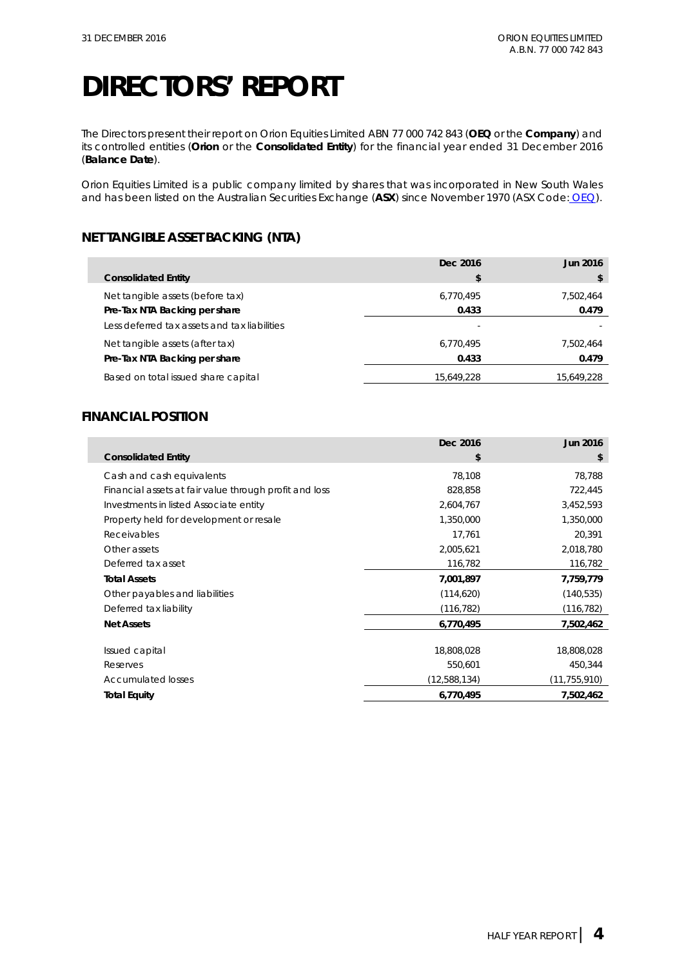The Directors present their report on Orion Equities Limited ABN 77 000 742 843 (**OEQ** or the **Company**) and its controlled entities (**Orion** or the **Consolidated Entity**) for the financial year ended 31 December 2016 (**Balance Date**).

Orion Equities Limited is a public company limited by shares that was incorporated in New South Wales and has been listed on the Australian Securities Exchange (**ASX**) since November 1970 (ASX Code: [OEQ\)](http://www.asx.com.au/asx/share-price-research/company/OEQ).

### **NET TANGIBLE ASSET BACKING (NTA)**

|                                              | Dec 2016   | Jun 2016   |
|----------------------------------------------|------------|------------|
| <b>Consolidated Entity</b>                   | S          |            |
| Net tangible assets (before tax)             | 6.770.495  | 7.502.464  |
| Pre-Tax NTA Backing per share                | 0.433      | 0.479      |
| Less deferred tax assets and tax liabilities |            |            |
| Net tangible assets (after tax)              | 6.770.495  | 7,502,464  |
| Pre-Tax NTA Backing per share                | 0.433      | 0.479      |
| Based on total issued share capital          | 15.649.228 | 15,649,228 |

### **FINANCIAL POSITION**

|                                                        | Dec 2016     | Jun 2016       |
|--------------------------------------------------------|--------------|----------------|
| <b>Consolidated Entity</b>                             | \$           | \$             |
| Cash and cash equivalents                              | 78,108       | 78,788         |
| Financial assets at fair value through profit and loss | 828,858      | 722,445        |
| Investments in listed Associate entity                 | 2,604,767    | 3,452,593      |
| Property held for development or resale                | 1,350,000    | 1,350,000      |
| Receivables                                            | 17,761       | 20,391         |
| Other assets                                           | 2,005,621    | 2,018,780      |
| Deferred tax asset                                     | 116,782      | 116,782        |
| <b>Total Assets</b>                                    | 7,001,897    | 7,759,779      |
| Other payables and liabilities                         | (114, 620)   | (140, 535)     |
| Deferred tax liability                                 | (116, 782)   | (116, 782)     |
| <b>Net Assets</b>                                      | 6,770,495    | 7,502,462      |
| Issued capital                                         | 18,808,028   | 18,808,028     |
| Reserves                                               | 550,601      | 450,344        |
| <b>Accumulated losses</b>                              | (12,588,134) | (11, 755, 910) |
| <b>Total Equity</b>                                    | 6,770,495    | 7,502,462      |
|                                                        |              |                |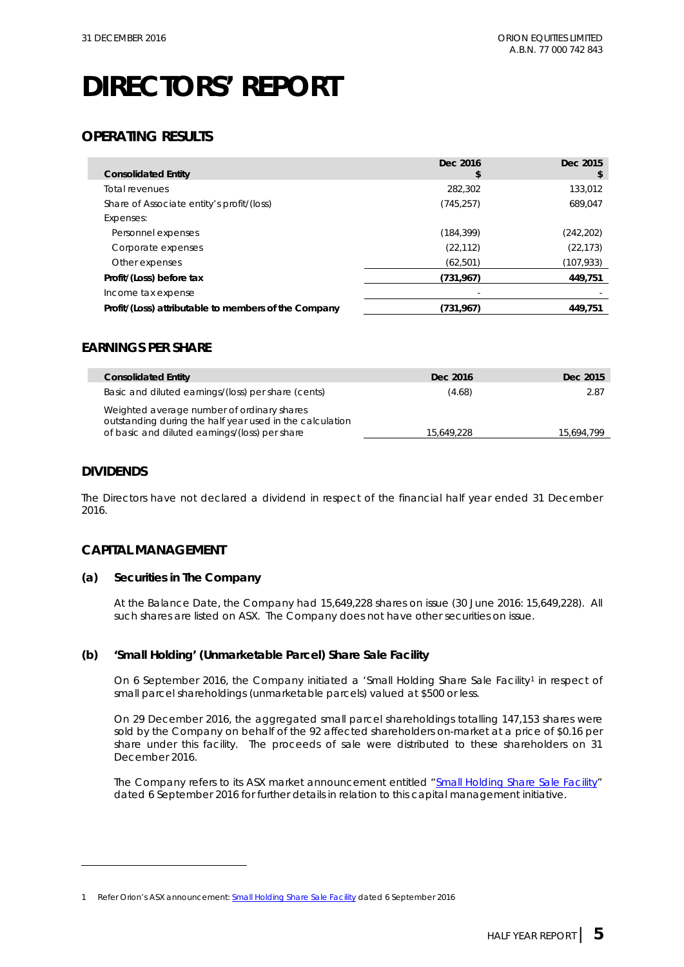### **OPERATING RESULTS**

| <b>Consolidated Entity</b>                           | Dec 2016<br>\$ | Dec 2015<br>\$ |
|------------------------------------------------------|----------------|----------------|
| Total revenues                                       | 282,302        | 133,012        |
| Share of Associate entity's profit/(loss)            | (745, 257)     | 689.047        |
| Expenses:                                            |                |                |
| Personnel expenses                                   | (184, 399)     | (242,202)      |
| Corporate expenses                                   | (22, 112)      | (22, 173)      |
| Other expenses                                       | (62, 501)      | (107,933)      |
| Profit/(Loss) before tax                             | (731, 967)     | 449,751        |
| Income tax expense                                   |                |                |
| Profit/(Loss) attributable to members of the Company | (731,967)      | 449.751        |

### **EARNINGS PER SHARE**

| <b>Consolidated Entity</b>                                                                                                                               | Dec 2016   | Dec 2015   |
|----------------------------------------------------------------------------------------------------------------------------------------------------------|------------|------------|
| Basic and diluted earnings/(loss) per share (cents)                                                                                                      | (4.68)     | 2.87       |
| Weighted average number of ordinary shares<br>outstanding during the half year used in the calculation<br>of basic and diluted earnings/(loss) per share | 15,649,228 | 15,694,799 |

### **DIVIDENDS**

-

The Directors have not declared a dividend in respect of the financial half year ended 31 December 2016.

### **CAPITAL MANAGEMENT**

#### **(a) Securities in The Company**

At the Balance Date, the Company had 15,649,228 shares on issue (30 June 2016: 15,649,228). All such shares are listed on ASX. The Company does not have other securities on issue.

#### **(b) 'Small Holding' (Unmarketable Parcel) Share Sale Facility**

On 6 September 20[1](#page-5-0)6, the Company initiated a 'Small Holding Share Sale Facility<sup>1</sup> in respect of small parcel shareholdings (unmarketable parcels) valued at \$500 or less.

On 29 December 2016, the aggregated small parcel shareholdings totalling 147,153 shares were sold by the Company on behalf of the 92 affected shareholders on-market at a price of \$0.16 per share under this facility. The proceeds of sale were distributed to these shareholders on 31 December 2016.

The Company refers to its ASX market announcement entitled ["Small Holding Share Sale Facility"](http://www.asx.com.au/asxpdf/20160906/pdf/439z684rqmch60.pdf) dated 6 September 2016 for further details in relation to this capital management initiative.

<span id="page-5-0"></span><sup>1</sup> Refer Orion's ASX announcement: **Small Holding Share Sale Facility dated 6 September 2016**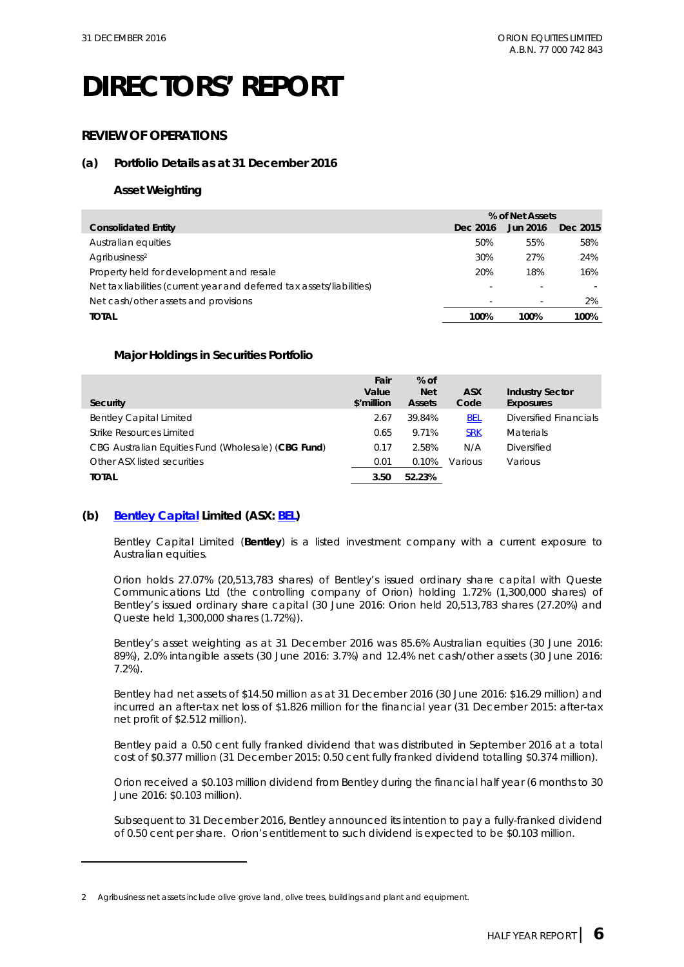### **REVIEW OF OPERATIONS**

### **(a) Portfolio Details as at 31 December 2016**

### **Asset Weighting**

|                                                                        | % of Net Assets          |          |          |
|------------------------------------------------------------------------|--------------------------|----------|----------|
| <b>Consolidated Entity</b>                                             | Dec 2016                 | Jun 2016 | Dec 2015 |
| Australian equities                                                    | 50%                      | 55%      | 58%      |
| Agribusiness <sup>2</sup>                                              | 30%                      | 27%      | 24%      |
| Property held for development and resale                               | 20%                      | 18%      | 16%      |
| Net tax liabilities (current year and deferred tax assets/liabilities) | $\overline{\phantom{a}}$ |          |          |
| Net cash/other assets and provisions                                   | $\overline{\phantom{a}}$ |          | 2%       |
| <b>TOTAL</b>                                                           | 100%                     | 100%     | 100%     |

### **Major Holdings in Securities Portfolio**

| Security                                            | Fair<br>Value<br>\$'million | $%$ of<br><b>Net</b><br><b>Assets</b> | <b>ASX</b><br>Code | <b>Industry Sector</b><br>Exposures |
|-----------------------------------------------------|-----------------------------|---------------------------------------|--------------------|-------------------------------------|
|                                                     |                             |                                       |                    |                                     |
| <b>Bentley Capital Limited</b>                      | 2.67                        | 39.84%                                | <b>BEL</b>         | Diversified Financials              |
| Strike Resources Limited                            | 0.65                        | 9.71%                                 | <b>SRK</b>         | <b>Materials</b>                    |
| CBG Australian Equities Fund (Wholesale) (CBG Fund) | 0.17                        | 2.58%                                 | N/A                | Diversified                         |
| Other ASX listed securities                         | 0.01                        | 0.10%                                 | Various            | Various                             |
| <b>TOTAL</b>                                        | 3.50                        | 52.23%                                |                    |                                     |

### **(b) [Bentley Capital](http://www.bel.com.au/) Limited (ASX: [BEL\)](http://www.asx.com.au/asx/share-price-research/company/BEL)**

-

Bentley Capital Limited (**Bentley**) is a listed investment company with a current exposure to Australian equities.

Orion holds 27.07% (20,513,783 shares) of Bentley's issued ordinary share capital with Queste Communications Ltd (the controlling company of Orion) holding 1.72% (1,300,000 shares) of Bentley's issued ordinary share capital (30 June 2016: Orion held 20,513,783 shares (27.20%) and Queste held 1,300,000 shares (1.72%)).

Bentley's asset weighting as at 31 December 2016 was 85.6% Australian equities (30 June 2016: 89%), 2.0% intangible assets (30 June 2016: 3.7%) and 12.4% net cash/other assets (30 June 2016: 7.2%).

Bentley had net assets of \$14.50 million as at 31 December 2016 (30 June 2016: \$16.29 million) and incurred an after-tax net loss of \$1.826 million for the financial year (31 December 2015: after-tax net profit of \$2.512 million).

Bentley paid a 0.50 cent fully franked dividend that was distributed in September 2016 at a total cost of \$0.377 million (31 December 2015: 0.50 cent fully franked dividend totalling \$0.374 million).

Orion received a \$0.103 million dividend from Bentley during the financial half year (6 months to 30 June 2016: \$0.103 million).

Subsequent to 31 December 2016, Bentley announced its intention to pay a fully-franked dividend of 0.50 cent per share. Orion's entitlement to such dividend is expected to be \$0.103 million.

<span id="page-6-0"></span><sup>2</sup> Agribusiness net assets include olive grove land, olive trees, buildings and plant and equipment.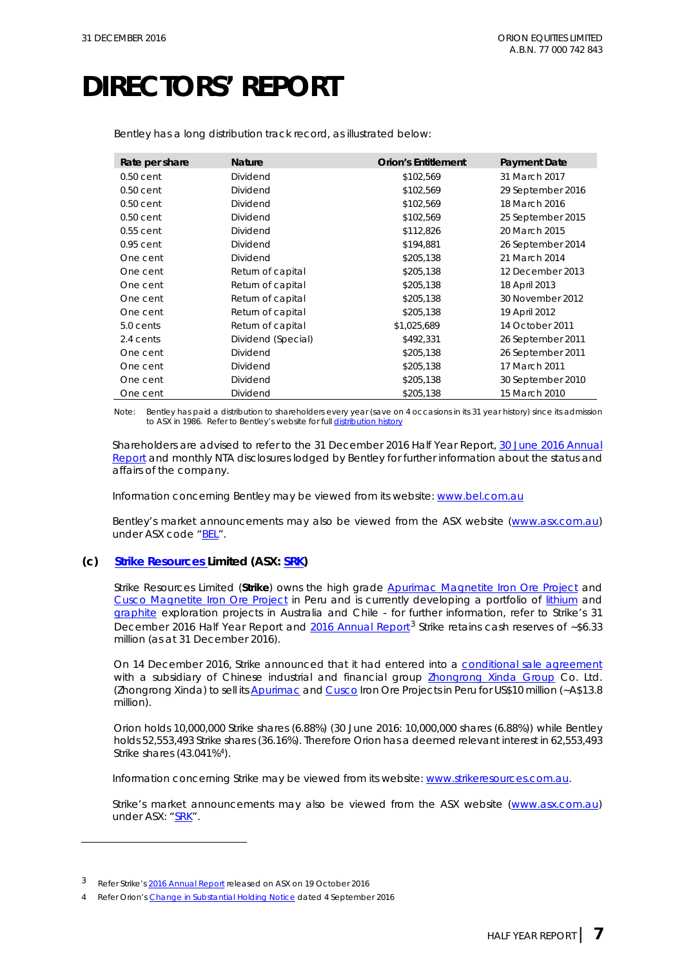| Rate per share | <b>Nature</b>      | <b>Orion's Entitlement</b> | <b>Payment Date</b> |
|----------------|--------------------|----------------------------|---------------------|
| $0.50$ cent    | Dividend           | \$102,569                  | 31 March 2017       |
| $0.50$ cent    | Dividend           | \$102,569                  | 29 September 2016   |
| $0.50$ cent    | Dividend           | \$102,569                  | 18 March 2016       |
| $0.50$ cent    | Dividend           | \$102,569                  | 25 September 2015   |
| $0.55$ cent    | Dividend           | \$112,826                  | 20 March 2015       |
| $0.95$ cent    | Dividend           | \$194,881                  | 26 September 2014   |
| One cent       | Dividend           | \$205,138                  | 21 March 2014       |
| One cent       | Return of capital  | \$205,138                  | 12 December 2013    |
| One cent       | Return of capital  | \$205,138                  | 18 April 2013       |
| One cent       | Return of capital  | \$205,138                  | 30 November 2012    |
| One cent       | Return of capital  | \$205,138                  | 19 April 2012       |
| 5.0 cents      | Return of capital  | \$1,025,689                | 14 October 2011     |
| 2.4 cents      | Dividend (Special) | \$492,331                  | 26 September 2011   |
| One cent       | Dividend           | \$205,138                  | 26 September 2011   |
| One cent       | Dividend           | \$205,138                  | 17 March 2011       |
| One cent       | Dividend           | \$205,138                  | 30 September 2010   |
| One cent       | Dividend           | \$205,138                  | 15 March 2010       |

Bentley has a long distribution track record, as illustrated below:

Note: Bentley has paid a distribution to shareholders every year (save on 4 occasions in its 31 year history) since its admission to ASX in 1986. Refer to Bentley's website for full [distribution history](http://bel.com.au/investors)

Shareholders are advised to refer to the 31 December 2016 Half Year Report[, 30 June 2016](http://bel.com.au/sites/default/files/20161019%20BEL%20Annual%20Report%20-%202016%20%28Web%29.pdf) Annual [Report](http://bel.com.au/sites/default/files/20161019%20BEL%20Annual%20Report%20-%202016%20%28Web%29.pdf) and monthly NTA disclosures lodged by Bentley for further information about the status and affairs of the company.

Information concerning Bentley may be viewed from its website[: www.bel.com.au](http://www.bel.com.au/) 

Bentley's market announcements may also be viewed from the ASX website [\(www.asx.com.au\)](http://www.asx.com.au/) under ASX code ["BEL"](http://www.asx.com.au/asx/share-price-research/company/BEL).

#### **(c) [Strike Resources Limited](http://strikeresources.com.au/) (ASX: [SRK\)](http://www.asx.com.au/asx/share-price-research/company/SRK)**

Strike Resources Limited (**Strike**) owns the high grade [Apurimac Magnetite Iron Ore Project](http://strikeresources.com.au/projects/apurimac-iron-ore-project/) and [Cusco Magnetite Iron Ore Project](http://strikeresources.com.au/projects/cusco-iron-ore/) in Peru and is currently developing a portfolio of [lithium](http://clients3.weblink.com.au/pdf/SRK/01768543.pdf) and [graphite](http://clients3.weblink.com.au/pdf/SRK/01800085.pdf) exploration projects in Australia and Chile - for further information, refer to Strike's 31 December 2016 Half Year Report and [2016 Annual Report](http://www.asx.com.au/asxpdf/20161019/pdf/43c3xc6rjp28mp.pdf)<sup>[3](#page-7-0)</sup> Strike retains cash reserves of  $\sim$ \$6.33 million (as at 31 December 2016).

On 14 December 2016, Strike announced that it had entered into a [conditional sale agreement](http://www.asx.com.au/asxpdf/20161214/pdf/43dqbrk8n76sy9.pdf) with a subsidiary of Chinese industrial and financial group **Zhongrong Xinda Group** Co. Ltd. (Zhongrong Xinda) to sell it[s Apurimac](http://strikeresources.com.au/projects/apurimac-iron-ore-project/) an[d Cusco](http://strikeresources.com.au/projects/cusco-iron-ore/) Iron Ore Projects in Peru for US\$10 million (~A\$13.8 million).

Orion holds 10,000,000 Strike shares (6.88%) (30 June 2016: 10,000,000 shares (6.88%)) while Bentley holds 52,553,493 Strike shares (36.16%). Therefore Orion has a deemed relevant interest in 62,553,493 Strike shares (43.041%[4](#page-7-1)).

Information concerning Strike may be viewed from its website: [www.strikeresources.com.au.](http://www.strikeresources.com.au/)

Strike's market announcements may also be viewed from the ASX website [\(www.asx.com.au\)](http://www.asx.com.au/) under ASX: ["SRK"](http://www.asx.com.au/asx/share-price-research/company/SRK).

-

<span id="page-7-0"></span><sup>3</sup> Refer Strike'[s 2016 Annual Report](http://www.asx.com.au/asxpdf/20161019/pdf/43c3xc6rjp28mp.pdf) released on ASX on 19 October 2016

<span id="page-7-1"></span><sup>4</sup> Refer Orion'[s Change in Substantial Holding Notice](http://www.asx.com.au/asxpdf/20150904/pdf/43133s77t1vl9p.pdf) dated 4 September 2016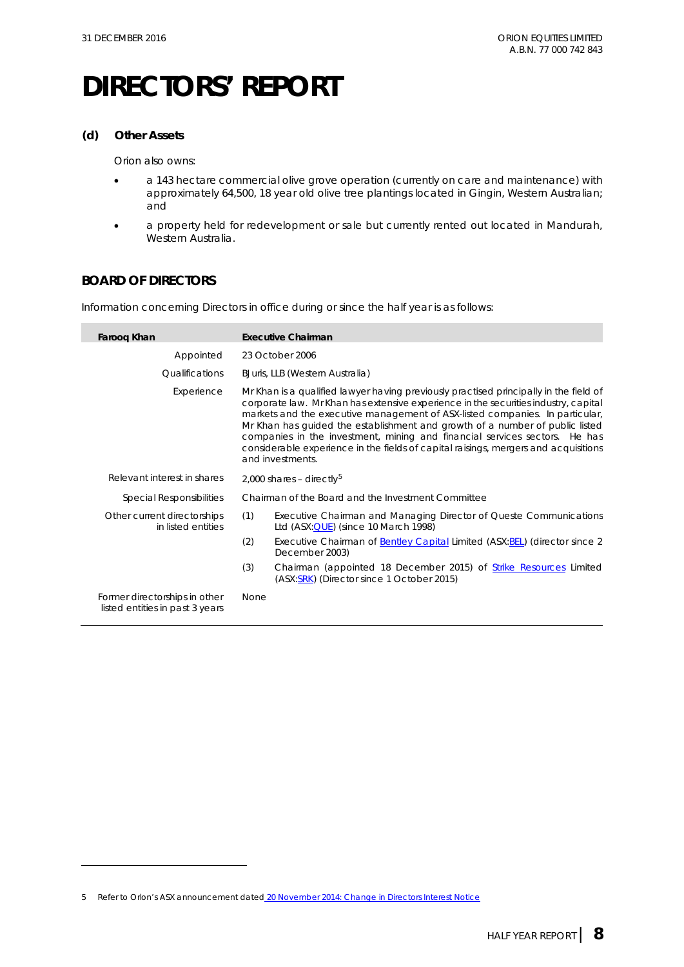#### **(d) Other Assets**

Orion also owns:

- a 143 hectare commercial olive grove operation (currently on care and maintenance) with approximately 64,500, 18 year old olive tree plantings located in Gingin, Western Australian; and
- a property held for redevelopment or sale but currently rented out located in Mandurah, Western Australia.

### **BOARD OF DIRECTORS**

-

Information concerning Directors in office during or since the half year is as follows:

| Faroog Khan                                                      | <b>Executive Chairman</b>                                                                                                                                                                                                                                                                                                                                                                                                                                                                                                             |
|------------------------------------------------------------------|---------------------------------------------------------------------------------------------------------------------------------------------------------------------------------------------------------------------------------------------------------------------------------------------------------------------------------------------------------------------------------------------------------------------------------------------------------------------------------------------------------------------------------------|
| Appointed                                                        | 23 October 2006                                                                                                                                                                                                                                                                                                                                                                                                                                                                                                                       |
| <i><u><b>Oualifications</b></u></i>                              | BJuris, LLB (Western Australia)                                                                                                                                                                                                                                                                                                                                                                                                                                                                                                       |
| Experience                                                       | Mr Khan is a qualified lawyer having previously practised principally in the field of<br>corporate law. Mr Khan has extensive experience in the securities industry, capital<br>markets and the executive management of ASX-listed companies. In particular,<br>Mr Khan has quided the establishment and growth of a number of public listed<br>companies in the investment, mining and financial services sectors. He has<br>considerable experience in the fields of capital raisings, mergers and acquisitions<br>and investments. |
| Relevant interest in shares                                      | 2,000 shares - directly <sup>5</sup>                                                                                                                                                                                                                                                                                                                                                                                                                                                                                                  |
| <b>Special Responsibilities</b>                                  | Chairman of the Board and the Investment Committee                                                                                                                                                                                                                                                                                                                                                                                                                                                                                    |
| Other current directorships<br>in listed entities                | (1)<br>Executive Chairman and Managing Director of Queste Communications<br>Ltd $(ASK:\overline{QUE})$ (since 10 March 1998)                                                                                                                                                                                                                                                                                                                                                                                                          |
|                                                                  | (2)<br>Executive Chairman of Bentley Capital Limited (ASX: BEL) (director since 2<br>December 2003)                                                                                                                                                                                                                                                                                                                                                                                                                                   |
|                                                                  | (3)<br>Chairman (appointed 18 December 2015) of Strike Resources Limited<br>(ASX:SRK) (Director since 1 October 2015)                                                                                                                                                                                                                                                                                                                                                                                                                 |
| Former directorships in other<br>listed entities in past 3 years | <b>None</b>                                                                                                                                                                                                                                                                                                                                                                                                                                                                                                                           |

<span id="page-8-0"></span><sup>5</sup> Refer to Orion's ASX announcement dated [20 November 2014: Change in Directors Interest Notice](http://orionequities.com.au/sites/default/files/20141120%20OEQ%20Appendix%203Y%20-%20Change%20of%20Directors%20Interest%20Notice%20-%20F%20Khan.pdf)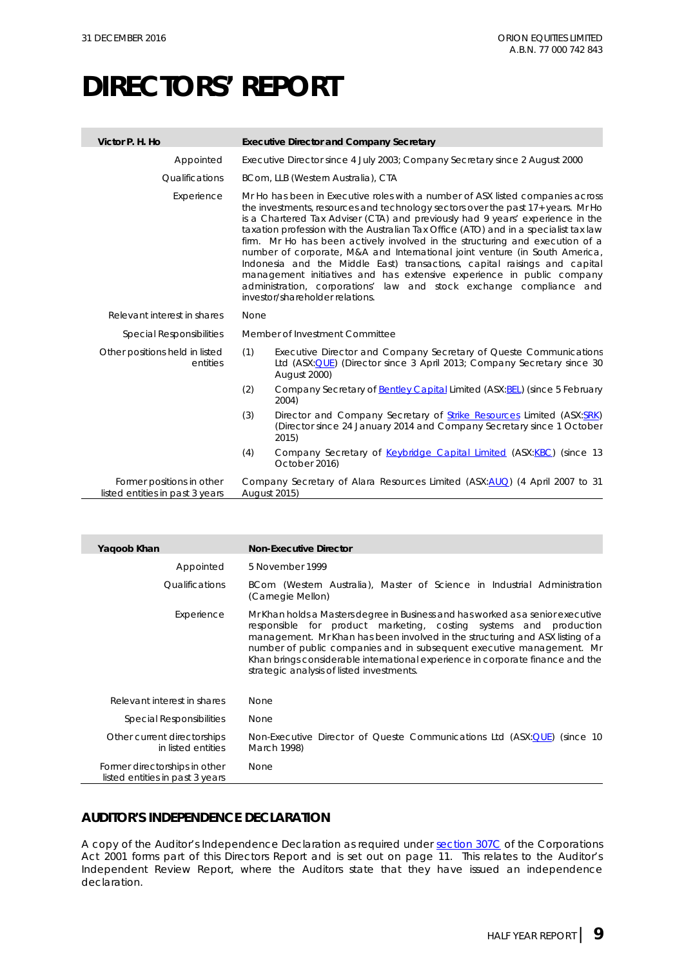| Victor P. H. Ho                                              | <b>Executive Director and Company Secretary</b>                                                                                                                                                                                                                                                                                                                                                                                                                                                                                                                                                                                                                                                                                                                             |  |  |
|--------------------------------------------------------------|-----------------------------------------------------------------------------------------------------------------------------------------------------------------------------------------------------------------------------------------------------------------------------------------------------------------------------------------------------------------------------------------------------------------------------------------------------------------------------------------------------------------------------------------------------------------------------------------------------------------------------------------------------------------------------------------------------------------------------------------------------------------------------|--|--|
| Appointed                                                    | Executive Director since 4 July 2003; Company Secretary since 2 August 2000                                                                                                                                                                                                                                                                                                                                                                                                                                                                                                                                                                                                                                                                                                 |  |  |
| <i><u><b>Oualifications</b></u></i>                          | BCom, LLB (Western Australia), CTA                                                                                                                                                                                                                                                                                                                                                                                                                                                                                                                                                                                                                                                                                                                                          |  |  |
| Experience                                                   | Mr Ho has been in Executive roles with a number of ASX listed companies across<br>the investments, resources and technology sectors over the past 17+ years. Mr Ho<br>is a Chartered Tax Adviser (CTA) and previously had 9 years' experience in the<br>taxation profession with the Australian Tax Office (ATO) and in a specialist tax law<br>firm. Mr Ho has been actively involved in the structuring and execution of a<br>number of corporate, M&A and International joint venture (in South America,<br>Indonesia and the Middle East) transactions, capital raisings and capital<br>management initiatives and has extensive experience in public company<br>administration, corporations' law and stock exchange compliance and<br>investor/shareholder relations. |  |  |
| Relevant interest in shares                                  | None                                                                                                                                                                                                                                                                                                                                                                                                                                                                                                                                                                                                                                                                                                                                                                        |  |  |
| <b>Special Responsibilities</b>                              | Member of Investment Committee                                                                                                                                                                                                                                                                                                                                                                                                                                                                                                                                                                                                                                                                                                                                              |  |  |
| Other positions held in listed<br>entities                   | (1)<br>Executive Director and Company Secretary of Queste Communications<br>Ltd (ASX: QUE) (Director since 3 April 2013; Company Secretary since 30<br>August 2000)                                                                                                                                                                                                                                                                                                                                                                                                                                                                                                                                                                                                         |  |  |
|                                                              | (2)<br>Company Secretary of <b>Bentley Capital Limited (ASX: BEL)</b> (since 5 February<br>2004)                                                                                                                                                                                                                                                                                                                                                                                                                                                                                                                                                                                                                                                                            |  |  |
|                                                              | (3)<br>Director and Company Secretary of Strike Resources Limited (ASX:SRK)<br>(Director since 24 January 2014 and Company Secretary since 1 October<br>2015)                                                                                                                                                                                                                                                                                                                                                                                                                                                                                                                                                                                                               |  |  |
|                                                              | (4)<br>Company Secretary of Keybridge Capital Limited (ASX:KBC) (since 13<br>October 2016)                                                                                                                                                                                                                                                                                                                                                                                                                                                                                                                                                                                                                                                                                  |  |  |
| Former positions in other<br>listed entities in past 3 years | Company Secretary of Alara Resources Limited (ASX:AUQ) (4 April 2007 to 31<br><b>August 2015)</b>                                                                                                                                                                                                                                                                                                                                                                                                                                                                                                                                                                                                                                                                           |  |  |

| Yaqoob Khan                                                      | <b>Non-Executive Director</b>                                                                                                                                                                                                                                                                                                                                                                                                                 |
|------------------------------------------------------------------|-----------------------------------------------------------------------------------------------------------------------------------------------------------------------------------------------------------------------------------------------------------------------------------------------------------------------------------------------------------------------------------------------------------------------------------------------|
| Appointed                                                        | 5 November 1999                                                                                                                                                                                                                                                                                                                                                                                                                               |
| <i><u><b>Oualifications</b></u></i>                              | BCom (Western Australia), Master of Science in Industrial Administration<br>(Carnegie Mellon)                                                                                                                                                                                                                                                                                                                                                 |
| Experience                                                       | Mr Khan holds a Masters degree in Business and has worked as a senior executive<br>responsible for product marketing, costing systems and production<br>management. Mr Khan has been involved in the structuring and ASX listing of a<br>number of public companies and in subsequent executive management. Mr<br>Khan brings considerable international experience in corporate finance and the<br>strategic analysis of listed investments. |
| Relevant interest in shares                                      | <b>None</b>                                                                                                                                                                                                                                                                                                                                                                                                                                   |
| Special Responsibilities                                         | None                                                                                                                                                                                                                                                                                                                                                                                                                                          |
| Other current directorships<br>in listed entities                | Non-Executive Director of Queste Communications Ltd (ASX:QUE) (since 10<br>March 1998)                                                                                                                                                                                                                                                                                                                                                        |
| Former directorships in other<br>listed entities in past 3 years | None                                                                                                                                                                                                                                                                                                                                                                                                                                          |

### **AUDITOR'S INDEPENDENCE DECLARATION**

A copy of the Auditor's Independence Declaration as required under [section 307C](http://www.austlii.edu.au/au/legis/cth/consol_act/ca2001172/s307c.html) of the *Corporations Act 2001* forms part of this Directors Report and is set out on page 11. This relates to the Auditor's Independent Review Report, where the Auditors state that they have issued an independence declaration.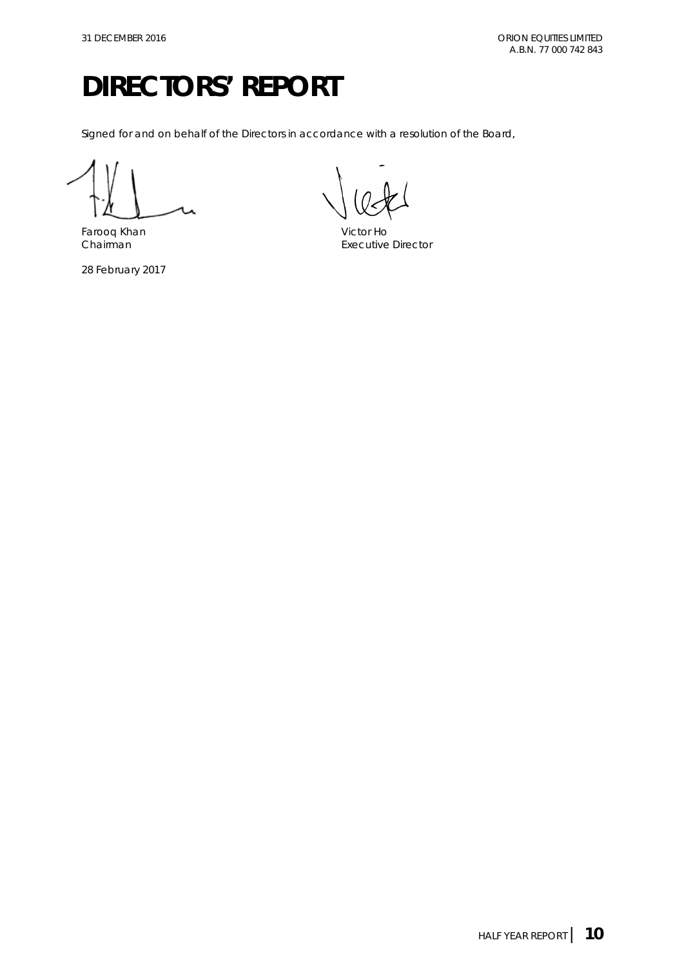Signed for and on behalf of the Directors in accordance with a resolution of the Board,

Farooq Khan Victor Ho

28 February 2017

**Executive Director**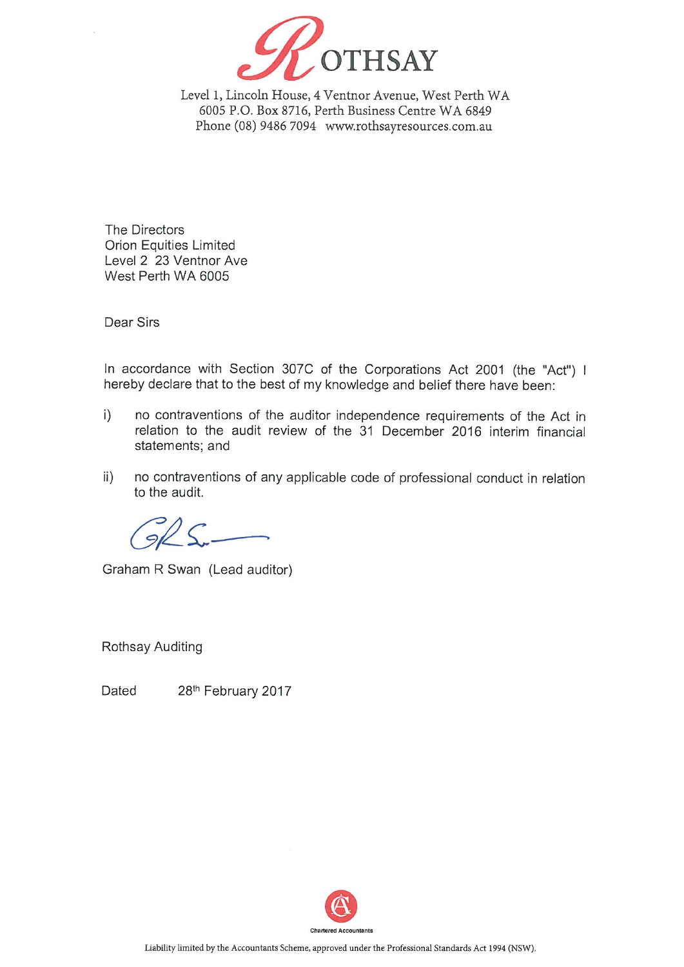

Level 1, Lincoln House, 4 Ventnor Avenue, West Perth WA 6005 P.O. Box 8716, Perth Business Centre WA 6849 Phone (08) 9486 7094 www.rothsayresources.com.au

The Directors **Orion Equities Limited** Level 2 23 Ventnor Ave West Perth WA 6005

Dear Sirs

In accordance with Section 307C of the Corporations Act 2001 (the "Act") I hereby declare that to the best of my knowledge and belief there have been:

- $i)$ no contraventions of the auditor independence requirements of the Act in relation to the audit review of the 31 December 2016 interim financial statements; and
- no contraventions of any applicable code of professional conduct in relation  $\mathsf{ii}$ ) to the audit.

Graham R Swan (Lead auditor)

**Rothsay Auditing** 

28th February 2017 Dated

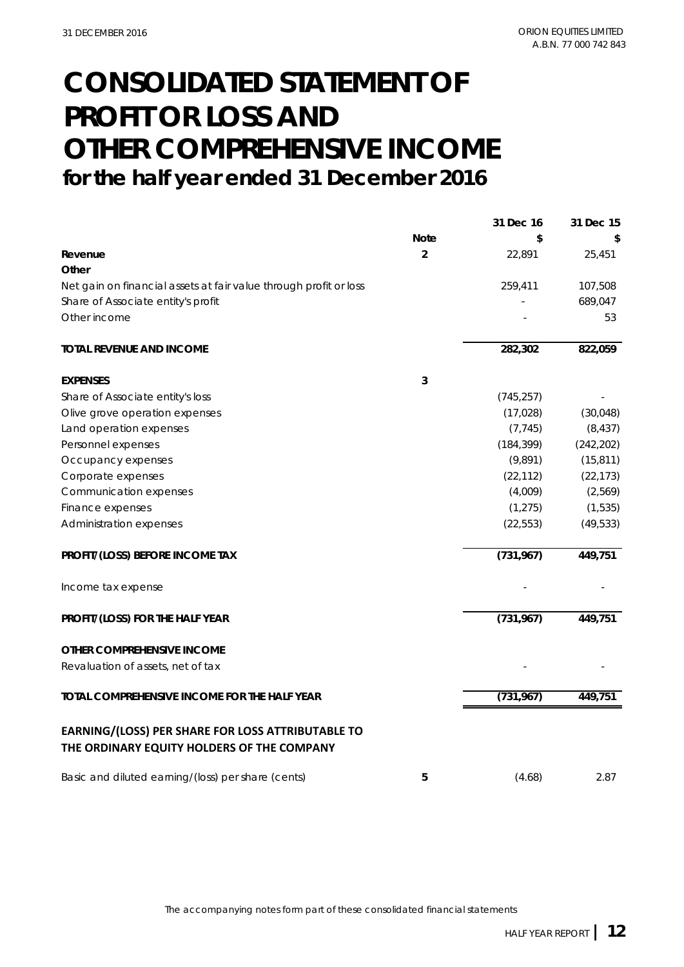# **CONSOLIDATED STATEMENT OF PROFIT OR LOSS AND OTHER COMPREHENSIVE INCOME for the half year ended 31 December 2016**

|                                                                   |                | 31 Dec 16  | 31 Dec 15  |
|-------------------------------------------------------------------|----------------|------------|------------|
|                                                                   | <b>Note</b>    | \$         | \$         |
| Revenue                                                           | $\overline{2}$ | 22,891     | 25,451     |
| Other                                                             |                |            |            |
| Net gain on financial assets at fair value through profit or loss |                | 259,411    | 107,508    |
| Share of Associate entity's profit                                |                |            | 689,047    |
| Other income                                                      |                |            | 53         |
| <b>TOTAL REVENUE AND INCOME</b>                                   |                | 282,302    | 822,059    |
| <b>EXPENSES</b>                                                   | 3              |            |            |
| Share of Associate entity's loss                                  |                | (745, 257) |            |
| Olive grove operation expenses                                    |                | (17, 028)  | (30,048)   |
| Land operation expenses                                           |                | (7, 745)   | (8, 437)   |
| Personnel expenses                                                |                | (184, 399) | (242, 202) |
| Occupancy expenses                                                |                | (9,891)    | (15, 811)  |
| Corporate expenses                                                |                | (22, 112)  | (22, 173)  |
| Communication expenses                                            |                | (4,009)    | (2,569)    |
| Finance expenses                                                  |                | (1, 275)   | (1, 535)   |
| Administration expenses                                           |                | (22, 553)  | (49, 533)  |
| PROFIT/(LOSS) BEFORE INCOME TAX                                   |                | (731, 967) | 449,751    |
| Income tax expense                                                |                |            |            |
| PROFIT/(LOSS) FOR THE HALF YEAR                                   |                | (731, 967) | 449,751    |
| OTHER COMPREHENSIVE INCOME                                        |                |            |            |
| Revaluation of assets, net of tax                                 |                |            |            |
| TOTAL COMPREHENSIVE INCOME FOR THE HALF YEAR                      |                | (731, 967) | 449,751    |
| EARNING/(LOSS) PER SHARE FOR LOSS ATTRIBUTABLE TO                 |                |            |            |
| THE ORDINARY EQUITY HOLDERS OF THE COMPANY                        |                |            |            |
| Basic and diluted earning/(loss) per share (cents)                | 5              | (4.68)     | 2.87       |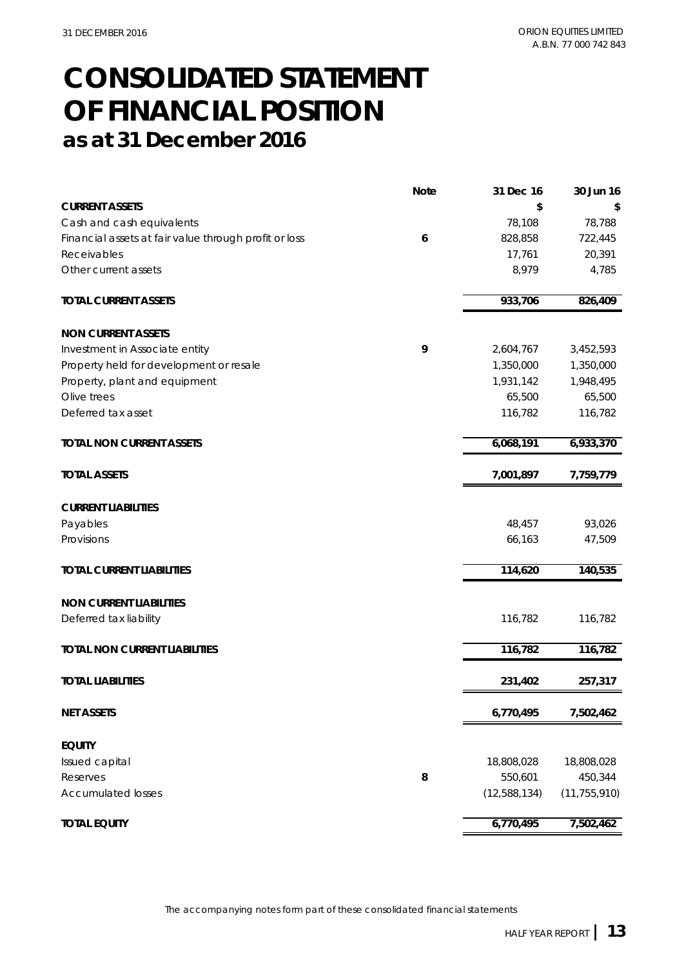# **CONSOLIDATED STATEMENT as at 31 December 2016 OF FINANCIAL POSITION**

|                                                       | <b>Note</b> | 31 Dec 16    | 30 Jun 16      |
|-------------------------------------------------------|-------------|--------------|----------------|
| <b>CURRENT ASSETS</b>                                 |             | \$           | S              |
| Cash and cash equivalents                             |             | 78,108       | 78,788         |
| Financial assets at fair value through profit or loss | 6           | 828,858      | 722,445        |
| Receivables                                           |             | 17,761       | 20,391         |
| Other current assets                                  |             | 8,979        | 4,785          |
| <b>TOTAL CURRENT ASSETS</b>                           |             | 933,706      | 826,409        |
| <b>NON CURRENT ASSETS</b>                             |             |              |                |
| Investment in Associate entity                        | 9           | 2,604,767    | 3,452,593      |
| Property held for development or resale               |             | 1,350,000    | 1,350,000      |
| Property, plant and equipment                         |             | 1,931,142    | 1,948,495      |
| Olive trees                                           |             | 65,500       | 65,500         |
| Deferred tax asset                                    |             | 116,782      | 116,782        |
| <b>TOTAL NON CURRENT ASSETS</b>                       |             | 6,068,191    | 6,933,370      |
| <b>TOTAL ASSETS</b>                                   |             | 7,001,897    | 7,759,779      |
| <b>CURRENT LIABILITIES</b>                            |             |              |                |
| Payables                                              |             | 48,457       | 93,026         |
| Provisions                                            |             | 66,163       | 47,509         |
| <b>TOTAL CURRENT LIABILITIES</b>                      |             | 114,620      | 140,535        |
| <b>NON CURRENT LIABILITIES</b>                        |             |              |                |
| Deferred tax liability                                |             | 116,782      | 116,782        |
| <b>TOTAL NON CURRENT LIABILITIES</b>                  |             | 116,782      | 116,782        |
| <b>TOTAL LIABILITIES</b>                              |             | 231,402      | 257,317        |
| <b>NET ASSETS</b>                                     |             | 6,770,495    | 7,502,462      |
| <b>EQUITY</b>                                         |             |              |                |
| Issued capital                                        |             | 18,808,028   | 18,808,028     |
| Reserves                                              | 8           | 550,601      | 450,344        |
| <b>Accumulated losses</b>                             |             | (12,588,134) | (11, 755, 910) |
| <b>TOTAL EQUITY</b>                                   |             | 6,770,495    | 7,502,462      |

The accompanying notes form part of these consolidated financial statements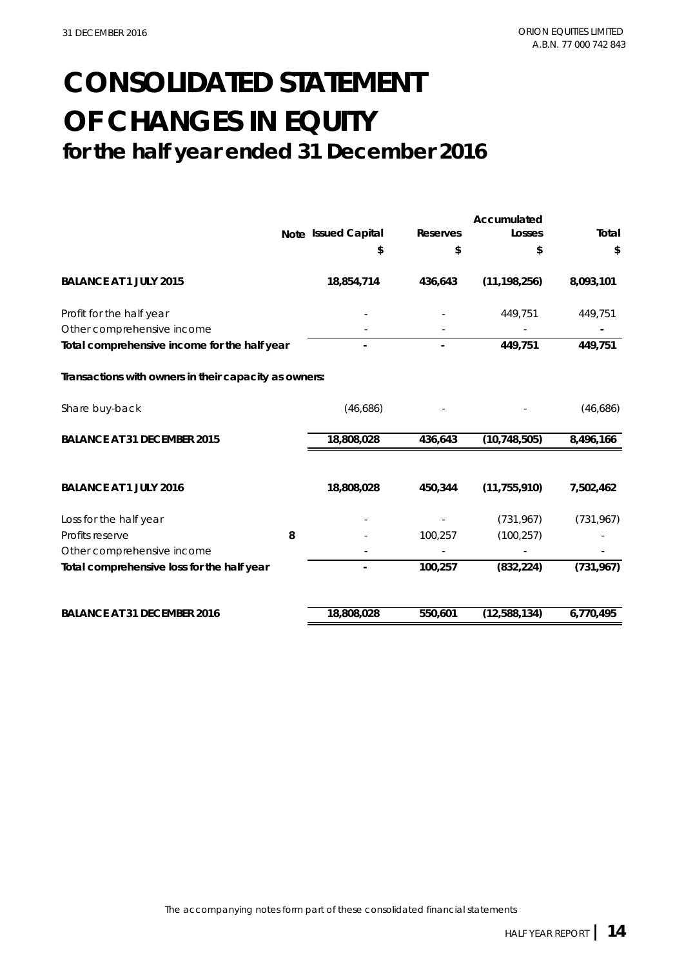# **for the half year ended 31 December 2016 CONSOLIDATED STATEMENT OF CHANGES IN EQUITY**

|   | Note Issued Capital<br>\$<br>18,854,714      | <b>Reserves</b><br>\$<br>436,643                                    | Losses<br>\$   | Total<br>\$  |
|---|----------------------------------------------|---------------------------------------------------------------------|----------------|--------------|
|   |                                              |                                                                     |                |              |
|   |                                              |                                                                     |                |              |
|   |                                              |                                                                     | (11, 198, 256) | 8,093,101    |
|   |                                              |                                                                     | 449,751        | 449,751      |
|   |                                              |                                                                     |                |              |
|   |                                              |                                                                     | 449,751        | 449,751      |
|   |                                              |                                                                     |                |              |
|   | (46,686)                                     |                                                                     |                | (46,686)     |
|   | 18,808,028                                   | 436,643                                                             | (10, 748, 505) | 8,496,166    |
|   |                                              |                                                                     |                |              |
|   | 18,808,028                                   | 450,344                                                             | (11, 755, 910) | 7,502,462    |
|   |                                              |                                                                     | (731, 967)     | (731, 967)   |
| 8 |                                              | 100,257                                                             | (100, 257)     |              |
|   |                                              |                                                                     |                |              |
|   |                                              | 100,257                                                             | (832, 224)     | (731, 967)   |
|   |                                              |                                                                     |                | 6,770,495    |
|   | Total comprehensive income for the half year | Transactions with owners in their capacity as owners:<br>18,808,028 | 550,601        | (12,588,134) |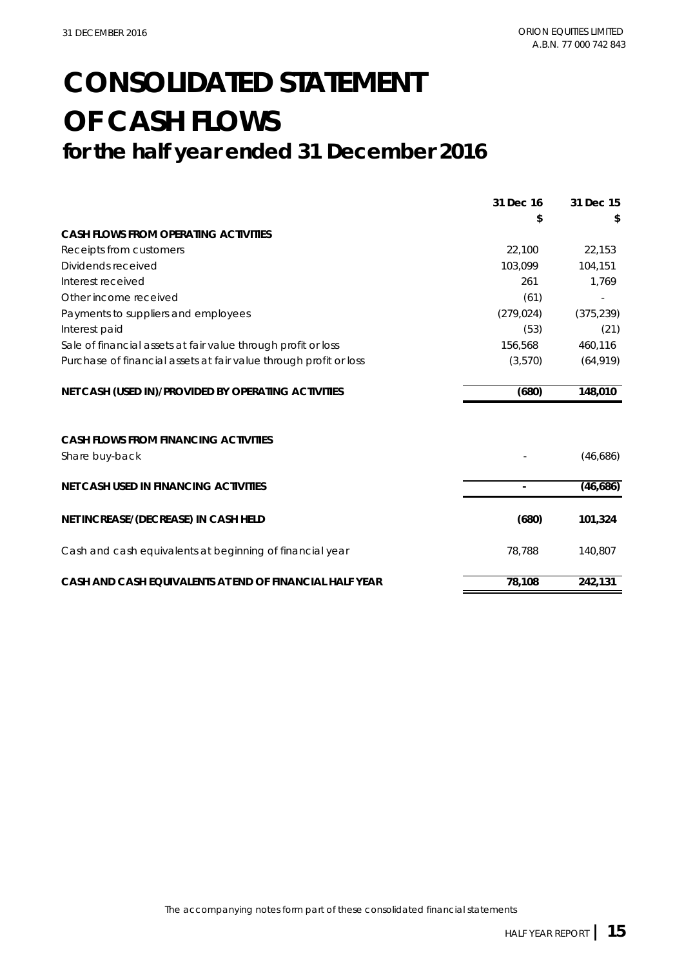# **CONSOLIDATED STATEMENT OF CASH FLOWS for the half year ended 31 December 2016**

|                                                                   | 31 Dec 16  | 31 Dec 15  |
|-------------------------------------------------------------------|------------|------------|
|                                                                   | \$         |            |
| <b>CASH FLOWS FROM OPERATING ACTIVITIES</b>                       |            |            |
| Receipts from customers                                           | 22,100     | 22,153     |
| Dividends received                                                | 103,099    | 104,151    |
| Interest received                                                 | 261        | 1,769      |
| Other income received                                             | (61)       |            |
| Payments to suppliers and employees                               | (279, 024) | (375, 239) |
| Interest paid                                                     | (53)       | (21)       |
| Sale of financial assets at fair value through profit or loss     | 156,568    | 460,116    |
| Purchase of financial assets at fair value through profit or loss | (3,570)    | (64, 919)  |
| NET CASH (USED IN)/PROVIDED BY OPERATING ACTIVITIES               | (680)      | 148,010    |
| <b>CASH FLOWS FROM FINANCING ACTIVITIES</b><br>Share buy-back     |            | (46,686)   |
| <b>NET CASH USED IN FINANCING ACTIVITIES</b>                      |            | (46,686)   |
| NET INCREASE/(DECREASE) IN CASH HELD                              | (680)      | 101,324    |
| Cash and cash equivalents at beginning of financial year          | 78,788     | 140,807    |
| CASH AND CASH EQUIVALENTS AT END OF FINANCIAL HALF YEAR           | 78,108     | 242,131    |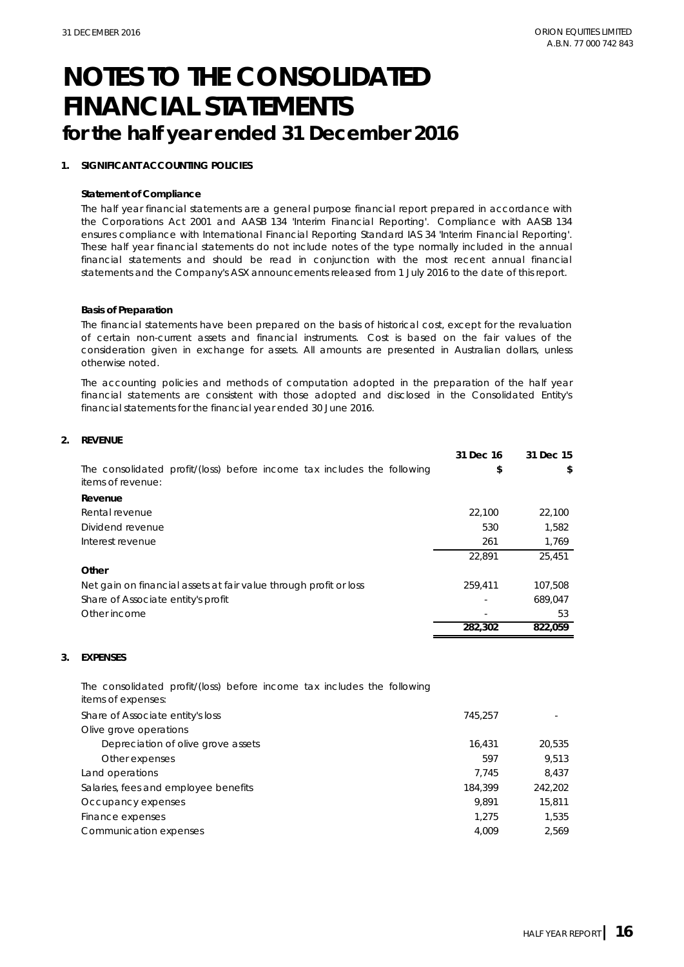#### **1. SIGNIFICANT ACCOUNTING POLICIES**

#### **Statement of Compliance**

The half year financial statements are a general purpose financial report prepared in accordance with the Corporations Act 2001 and AASB 134 'Interim Financial Reporting'. Compliance with AASB 134 ensures compliance with International Financial Reporting Standard IAS 34 'Interim Financial Reporting'. These half year financial statements do not include notes of the type normally included in the annual financial statements and should be read in conjunction with the most recent annual financial statements and the Company's ASX announcements released from 1 July 2016 to the date of this report.

#### **Basis of Preparation**

The financial statements have been prepared on the basis of historical cost, except for the revaluation of certain non-current assets and financial instruments. Cost is based on the fair values of the consideration given in exchange for assets. All amounts are presented in Australian dollars, unless otherwise noted.

The accounting policies and methods of computation adopted in the preparation of the half year financial statements are consistent with those adopted and disclosed in the Consolidated Entity's financial statements for the financial year ended 30 June 2016.

| 2. | <b>REVENUE</b> |
|----|----------------|
|    |                |

|                                                                                              | 31 Dec 16 | 31 Dec 15 |
|----------------------------------------------------------------------------------------------|-----------|-----------|
| The consolidated profit/(loss) before income tax includes the following<br>items of revenue: | \$        | \$        |
| Revenue                                                                                      |           |           |
| Rental revenue                                                                               | 22.100    | 22,100    |
| Dividend revenue                                                                             | 530       | 1,582     |
| Interest revenue                                                                             | 261       | 1,769     |
|                                                                                              | 22,891    | 25,451    |
| Other                                                                                        |           |           |
| Net gain on financial assets at fair value through profit or loss                            | 259,411   | 107.508   |
| Share of Associate entity's profit                                                           |           | 689.047   |
| Other income                                                                                 |           | 53        |
|                                                                                              | 282,302   | 822.059   |

#### **3. EXPENSES**

The consolidated profit/(loss) before income tax includes the following items of expenses:

| Share of Associate entity's loss     | 745.257 |         |
|--------------------------------------|---------|---------|
| Olive grove operations               |         |         |
| Depreciation of olive grove assets   | 16,431  | 20.535  |
| Other expenses                       | 597     | 9.513   |
| Land operations                      | 7.745   | 8.437   |
| Salaries, fees and employee benefits | 184.399 | 242,202 |
| Occupancy expenses                   | 9.891   | 15,811  |
| Finance expenses                     | 1.275   | 1.535   |
| Communication expenses               | 4.009   | 2,569   |
|                                      |         |         |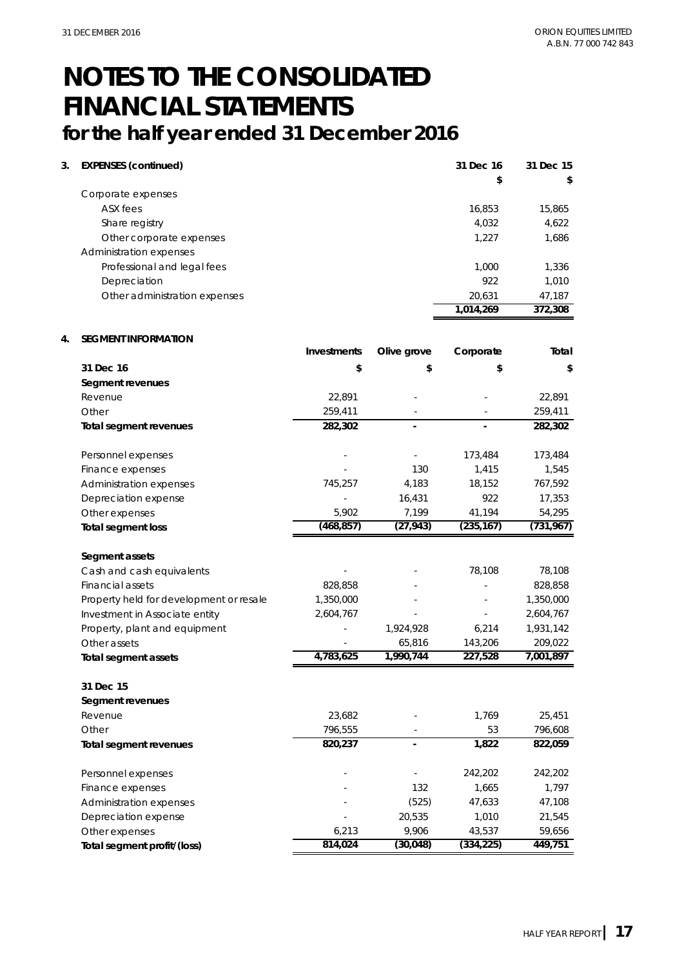| 3. | <b>EXPENSES (continued)</b>   | 31 Dec 16 | 31 Dec 15 |
|----|-------------------------------|-----------|-----------|
|    |                               | \$        | \$        |
|    | Corporate expenses            |           |           |
|    | ASX fees                      | 16,853    | 15,865    |
|    | Share registry                | 4,032     | 4,622     |
|    | Other corporate expenses      | 1.227     | 1,686     |
|    | Administration expenses       |           |           |
|    | Professional and legal fees   | 1,000     | 1,336     |
|    | Depreciation                  | 922       | 1,010     |
|    | Other administration expenses | 20.631    | 47,187    |
|    |                               | 1,014,269 | 372,308   |

#### **4. SEGMENT INFORMATION**

|                                         | Investments | Olive grove | Corporate  | Total      |
|-----------------------------------------|-------------|-------------|------------|------------|
| 31 Dec 16                               | \$          | \$          | \$         | S.         |
| Segment revenues                        |             |             |            |            |
| Revenue                                 | 22,891      |             |            | 22,891     |
| Other                                   | 259,411     |             |            | 259,411    |
| Total segment revenues                  | 282,302     |             |            | 282,302    |
| Personnel expenses                      |             |             | 173,484    | 173,484    |
| Finance expenses                        |             | 130         | 1,415      | 1,545      |
| Administration expenses                 | 745,257     | 4,183       | 18,152     | 767,592    |
| Depreciation expense                    |             | 16,431      | 922        | 17,353     |
| Other expenses                          | 5,902       | 7,199       | 41,194     | 54,295     |
| <b>Total segment loss</b>               | (468, 857)  | (27, 943)   | (235, 167) | (731, 967) |
| Segment assets                          |             |             |            |            |
| Cash and cash equivalents               |             |             | 78,108     | 78,108     |
| <b>Financial assets</b>                 | 828,858     |             |            | 828,858    |
| Property held for development or resale | 1,350,000   |             |            | 1,350,000  |
| Investment in Associate entity          | 2,604,767   |             |            | 2,604,767  |
| Property, plant and equipment           |             | 1,924,928   | 6,214      | 1,931,142  |
| Other assets                            |             | 65,816      | 143,206    | 209,022    |
| <b>Total segment assets</b>             | 4,783,625   | 1,990,744   | 227,528    | 7,001,897  |
| 31 Dec 15                               |             |             |            |            |
| Segment revenues                        |             |             |            |            |
| Revenue                                 | 23,682      |             | 1,769      | 25,451     |
| Other                                   | 796,555     |             | 53         | 796,608    |
| <b>Total segment revenues</b>           | 820,237     |             | 1,822      | 822,059    |
| Personnel expenses                      |             |             | 242,202    | 242,202    |
| Finance expenses                        |             | 132         | 1,665      | 1,797      |
| Administration expenses                 |             | (525)       | 47,633     | 47,108     |
| Depreciation expense                    |             | 20,535      | 1,010      | 21,545     |
| Other expenses                          | 6,213       | 9,906       | 43,537     | 59,656     |
| Total segment profit/(loss)             | 814,024     | (30,048)    | (334, 225) | 449,751    |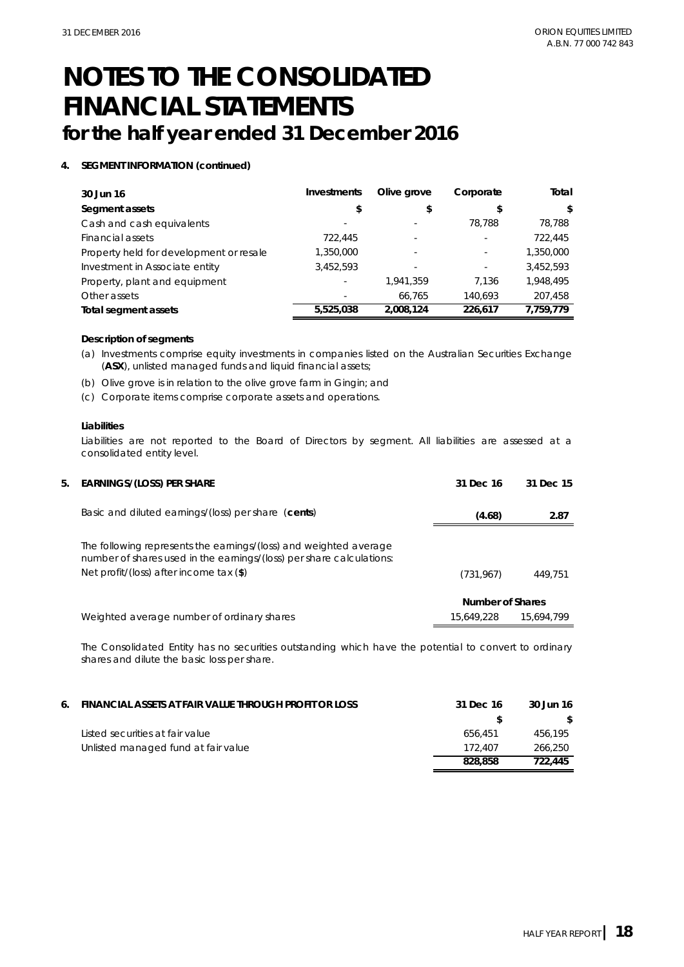### **4. SEGMENT INFORMATION (continued)**

| 30 Jun 16                               | Investments | Olive grove | Corporate | Total     |
|-----------------------------------------|-------------|-------------|-----------|-----------|
| Segment assets                          | \$          | \$          |           | \$.       |
| Cash and cash equivalents               |             |             | 78.788    | 78,788    |
| Financial assets                        | 722,445     |             |           | 722,445   |
| Property held for development or resale | 1,350,000   |             |           | 1,350,000 |
| Investment in Associate entity          | 3,452,593   |             |           | 3.452.593 |
| Property, plant and equipment           |             | 1.941.359   | 7.136     | 1,948,495 |
| Other assets                            |             | 66.765      | 140.693   | 207,458   |
| Total segment assets                    | 5,525,038   | 2,008,124   | 226,617   | 7,759,779 |

#### **Description of segments**

- (a) Investments comprise equity investments in companies listed on the Australian Securities Exchange (**ASX**), unlisted managed funds and liquid financial assets;
- (b) Olive grove is in relation to the olive grove farm in Gingin; and
- (c) Corporate items comprise corporate assets and operations.

#### **Liabilities**

Liabilities are not reported to the Board of Directors by segment. All liabilities are assessed at a consolidated entity level.

| 5. EARNINGS/(LOSS) PER SHARE                                                                                                                                                           | 31 Dec 16        | 31 Dec 15  |
|----------------------------------------------------------------------------------------------------------------------------------------------------------------------------------------|------------------|------------|
| Basic and diluted earnings/(loss) per share (cents)                                                                                                                                    | (4.68)           | 2.87       |
| The following represents the earnings/(loss) and weighted average<br>number of shares used in the earnings/(loss) per share calculations:<br>Net profit/(loss) after income tax $(\$)$ | (731, 967)       | 449.751    |
|                                                                                                                                                                                        | Number of Shares |            |
| Weighted average number of ordinary shares                                                                                                                                             | 15,649,228       | 15.694.799 |

The Consolidated Entity has no securities outstanding which have the potential to convert to ordinary shares and dilute the basic loss per share.

| 6. FINANCIAL ASSETS AT FAIR VALUE THROUGH PROFIT OR LOSS | 31 Dec 16 | 30 Jun 16 |
|----------------------------------------------------------|-----------|-----------|
|                                                          |           | -SI       |
| Listed securities at fair value                          | 656.451   | 456.195   |
| Unlisted managed fund at fair value                      | 172.407   | 266,250   |
|                                                          | 828.858   | 722,445   |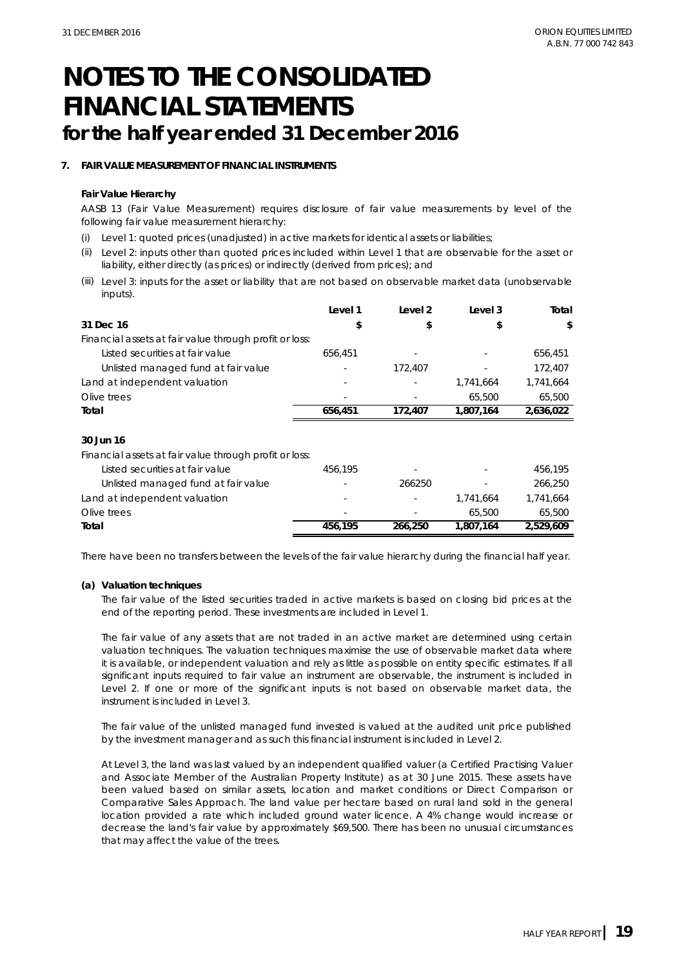#### **7. FAIR VALUE MEASUREMENT OF FINANCIAL INSTRUMENTS**

#### **Fair Value Hierarchy**

AASB 13 (Fair Value Measurement) requires disclosure of fair value measurements by level of the following fair value measurement hierarchy:

- (i) Level 1: quoted prices (unadjusted) in active markets for identical assets or liabilities;
- (ii) Level 2: inputs other than quoted prices included within Level 1 that are observable for the asset or liability, either directly (as prices) or indirectly (derived from prices); and
- (iii) Level 3: inputs for the asset or liability that are not based on observable market data (unobservable inputs).

|                                                        | Level 1 | Level 2 | Level 3   | Total     |
|--------------------------------------------------------|---------|---------|-----------|-----------|
| 31 Dec 16                                              | \$      | \$      | \$        | \$        |
| Financial assets at fair value through profit or loss: |         |         |           |           |
| Listed securities at fair value                        | 656.451 |         |           | 656,451   |
| Unlisted managed fund at fair value                    |         | 172,407 |           | 172,407   |
| Land at independent valuation                          |         |         | 1,741,664 | 1,741,664 |
| Olive trees                                            |         |         | 65,500    | 65,500    |
| Total                                                  | 656,451 | 172,407 | 1,807,164 | 2,636,022 |
|                                                        |         |         |           |           |
| 30 Jun 16                                              |         |         |           |           |
| Financial assets at fair value through profit or loss: |         |         |           |           |
| Listed securities at fair value                        | 456.195 |         |           | 456,195   |
|                                                        |         |         |           |           |
| Unlisted managed fund at fair value                    |         | 266250  |           | 266,250   |
| Land at independent valuation                          |         |         | 1,741,664 | 1,741,664 |
| Olive trees                                            |         |         | 65,500    | 65,500    |

There have been no transfers between the levels of the fair value hierarchy during the financial half year.

#### **(a) Valuation techniques**

The fair value of the listed securities traded in active markets is based on closing bid prices at the end of the reporting period. These investments are included in Level 1.

The fair value of any assets that are not traded in an active market are determined using certain valuation techniques. The valuation techniques maximise the use of observable market data where it is available, or independent valuation and rely as little as possible on entity specific estimates. If all significant inputs required to fair value an instrument are observable, the instrument is included in Level 2. If one or more of the significant inputs is not based on observable market data, the instrument is included in Level 3.

The fair value of the unlisted managed fund invested is valued at the audited unit price published by the investment manager and as such this financial instrument is included in Level 2.

At Level 3, the land was last valued by an independent qualified valuer (a Certified Practising Valuer and Associate Member of the Australian Property Institute) as at 30 June 2015. These assets have been valued based on similar assets, location and market conditions or Direct Comparison or Comparative Sales Approach. The land value per hectare based on rural land sold in the general location provided a rate which included ground water licence. A 4% change would increase or decrease the land's fair value by approximately \$69,500. There has been no unusual circumstances that may affect the value of the trees.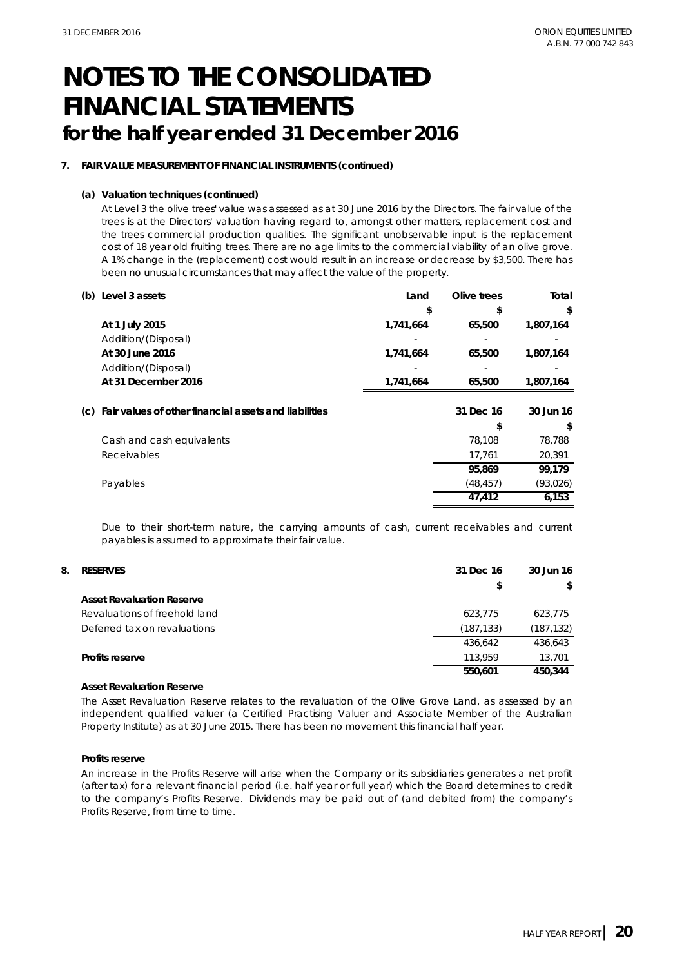### **7. FAIR VALUE MEASUREMENT OF FINANCIAL INSTRUMENTS (continued)**

#### **(a) Valuation techniques (continued)**

At Level 3 the olive trees' value was assessed as at 30 June 2016 by the Directors. The fair value of the trees is at the Directors' valuation having regard to, amongst other matters, replacement cost and the trees commercial production qualities. The significant unobservable input is the replacement cost of 18 year old fruiting trees. There are no age limits to the commercial viability of an olive grove. A 1% change in the (replacement) cost would result in an increase or decrease by \$3,500. There has been no unusual circumstances that may affect the value of the property.

| (b) Level 3 assets                                        | Land      | Olive trees | Total     |
|-----------------------------------------------------------|-----------|-------------|-----------|
|                                                           | \$        | \$          | \$        |
| At 1 July 2015                                            | 1,741,664 | 65,500      | 1,807,164 |
| Addition/(Disposal)                                       |           |             |           |
| At 30 June 2016                                           | 1,741,664 | 65,500      | 1,807,164 |
| Addition/(Disposal)                                       |           |             |           |
| At 31 December 2016                                       | 1,741,664 | 65,500      | 1,807,164 |
| (c) Fair values of other financial assets and liabilities |           | 31 Dec 16   | 30 Jun 16 |
|                                                           |           | S           | \$        |
| Cash and cash equivalents                                 |           | 78.108      | 78,788    |
| Receivables                                               |           | 17,761      | 20,391    |
|                                                           |           | 95,869      | 99,179    |
| Payables                                                  |           | (48, 457)   | (93, 026) |
|                                                           |           | 47,412      | 6,153     |

Due to their short-term nature, the carrying amounts of cash, current receivables and current payables is assumed to approximate their fair value.

| 8. | <b>RESERVES</b>                  | 31 Dec 16  | 30 Jun 16 |
|----|----------------------------------|------------|-----------|
|    |                                  | \$         | \$        |
|    | <b>Asset Revaluation Reserve</b> |            |           |
|    | Revaluations of freehold land    | 623.775    | 623.775   |
|    | Deferred tax on revaluations     | (187, 133) | (187,132) |
|    |                                  | 436.642    | 436.643   |
|    | <b>Profits reserve</b>           | 113.959    | 13,701    |
|    |                                  | 550,601    | 450.344   |

#### **Asset Revaluation Reserve**

The Asset Revaluation Reserve relates to the revaluation of the Olive Grove Land, as assessed by an independent qualified valuer (a Certified Practising Valuer and Associate Member of the Australian Property Institute) as at 30 June 2015. There has been no movement this financial half year.

#### **Profits reserve**

An increase in the Profits Reserve will arise when the Company or its subsidiaries generates a net profit (after tax) for a relevant financial period (i.e. half year or full year) which the Board determines to credit to the company's Profits Reserve. Dividends may be paid out of (and debited from) the company's Profits Reserve, from time to time.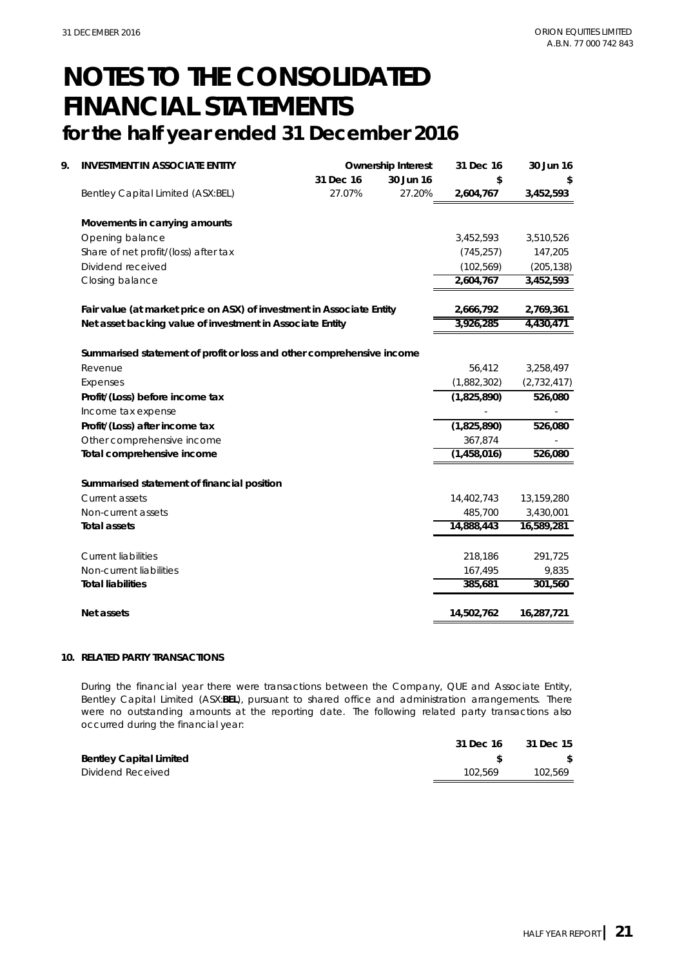| 9. | <b>INVESTMENT IN ASSOCIATE ENTITY</b>                                 |                                                                       | <b>Ownership Interest</b> | 31 Dec 16              | 30 Jun 16   |  |
|----|-----------------------------------------------------------------------|-----------------------------------------------------------------------|---------------------------|------------------------|-------------|--|
|    |                                                                       | 31 Dec 16                                                             | 30 Jun 16                 | \$                     |             |  |
|    | Bentley Capital Limited (ASX:BEL)                                     | 27.07%                                                                | 27.20%                    | 2,604,767              | 3,452,593   |  |
|    | Movements in carrying amounts                                         |                                                                       |                           |                        |             |  |
|    | Opening balance                                                       |                                                                       |                           | 3,452,593              | 3,510,526   |  |
|    | Share of net profit/(loss) after tax                                  |                                                                       |                           | (745, 257)             | 147,205     |  |
|    | Dividend received                                                     |                                                                       |                           | (102, 569)             | (205, 138)  |  |
|    | Closing balance                                                       |                                                                       |                           | 2,604,767              | 3,452,593   |  |
|    |                                                                       | Fair value (at market price on ASX) of investment in Associate Entity |                           |                        |             |  |
|    | Net asset backing value of investment in Associate Entity             |                                                                       |                           | 3,926,285              | 4,430,471   |  |
|    |                                                                       |                                                                       |                           |                        |             |  |
|    | Summarised statement of profit or loss and other comprehensive income |                                                                       |                           |                        |             |  |
|    | Revenue                                                               |                                                                       |                           | 56,412                 | 3,258,497   |  |
|    | Expenses                                                              |                                                                       |                           | (1,882,302)            | (2,732,417) |  |
|    | Profit/(Loss) before income tax                                       |                                                                       |                           | (1,825,890)            | 526,080     |  |
|    | Income tax expense                                                    |                                                                       |                           |                        |             |  |
|    | Profit/(Loss) after income tax                                        |                                                                       |                           | (1,825,890)            | 526,080     |  |
|    | Other comprehensive income                                            |                                                                       |                           | 367,874<br>(1,458,016) | 526,080     |  |
|    | Total comprehensive income                                            |                                                                       |                           |                        |             |  |
|    | Summarised statement of financial position                            |                                                                       |                           |                        |             |  |
|    | Current assets                                                        |                                                                       |                           | 14,402,743             | 13,159,280  |  |
|    | Non-current assets                                                    |                                                                       |                           | 485,700                | 3,430,001   |  |
|    | <b>Total assets</b>                                                   |                                                                       |                           | 14,888,443             | 16,589,281  |  |
|    | <b>Current liabilities</b>                                            |                                                                       |                           | 218,186                | 291,725     |  |
|    | Non-current liabilities                                               |                                                                       |                           | 167,495                | 9,835       |  |
|    | <b>Total liabilities</b>                                              |                                                                       |                           | 385,681                | 301,560     |  |
|    | Net assets                                                            |                                                                       |                           | 14,502,762             | 16,287,721  |  |

#### **10. RELATED PARTY TRANSACTIONS**

During the financial year there were transactions between the Company, QUE and Associate Entity, Bentley Capital Limited (ASX:**BEL**), pursuant to shared office and administration arrangements. There were no outstanding amounts at the reporting date. The following related party transactions also occurred during the financial year:

|                                | 31 Dec 16 | 31 Dec 15 |
|--------------------------------|-----------|-----------|
| <b>Bentley Capital Limited</b> |           |           |
| Dividend Received              | 102.569   | 102.569   |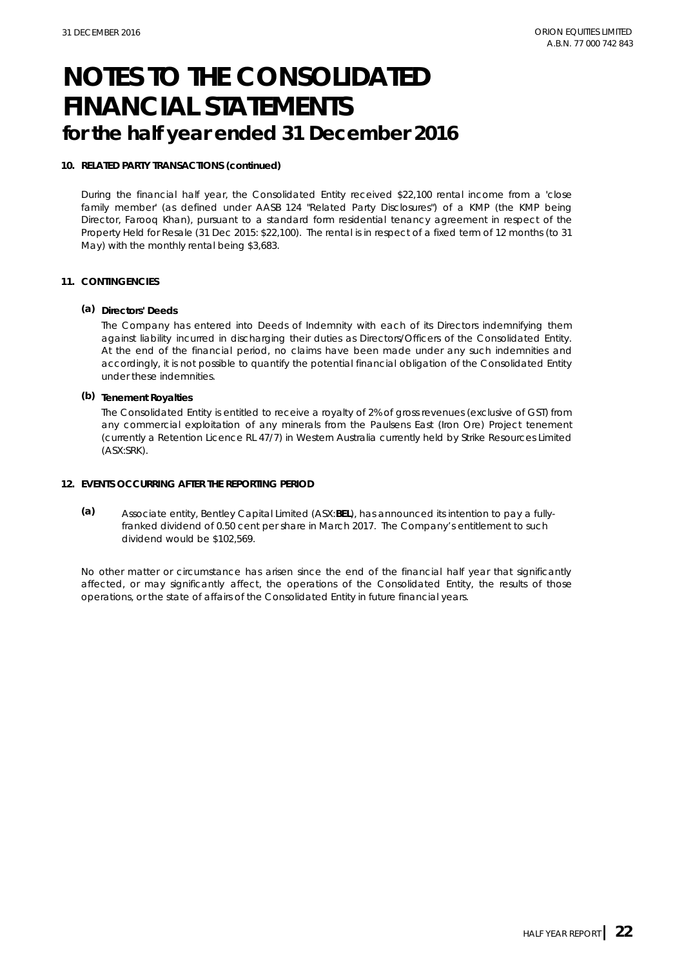#### **10. RELATED PARTY TRANSACTIONS (continued)**

During the financial half year, the Consolidated Entity received \$22,100 rental income from a 'close family member' (as defined under AASB 124 "Related Party Disclosures") of a KMP (the KMP being Director, Farooq Khan), pursuant to a standard form residential tenancy agreement in respect of the Property Held for Resale (31 Dec 2015: \$22,100). The rental is in respect of a fixed term of 12 months (to 31 May) with the monthly rental being \$3,683.

#### **11. CONTINGENCIES**

#### **(a) Directors' Deeds**

The Company has entered into Deeds of Indemnity with each of its Directors indemnifying them against liability incurred in discharging their duties as Directors/Officers of the Consolidated Entity. At the end of the financial period, no claims have been made under any such indemnities and accordingly, it is not possible to quantify the potential financial obligation of the Consolidated Entity under these indemnities.

### **(b) Tenement Royalties**

The Consolidated Entity is entitled to receive a royalty of 2% of gross revenues (exclusive of GST) from any commercial exploitation of any minerals from the Paulsens East (Iron Ore) Project tenement (currently a Retention Licence RL 47/7) in Western Australia currently held by Strike Resources Limited (ASX:SRK).

#### **12. EVENTS OCCURRING AFTER THE REPORTING PERIOD**

**(a)** Associate entity, Bentley Capital Limited (ASX:**BEL**), has announced its intention to pay a fullyfranked dividend of 0.50 cent per share in March 2017. The Company's entitlement to such dividend would be \$102,569.

No other matter or circumstance has arisen since the end of the financial half year that significantly affected, or may significantly affect, the operations of the Consolidated Entity, the results of those operations, or the state of affairs of the Consolidated Entity in future financial years.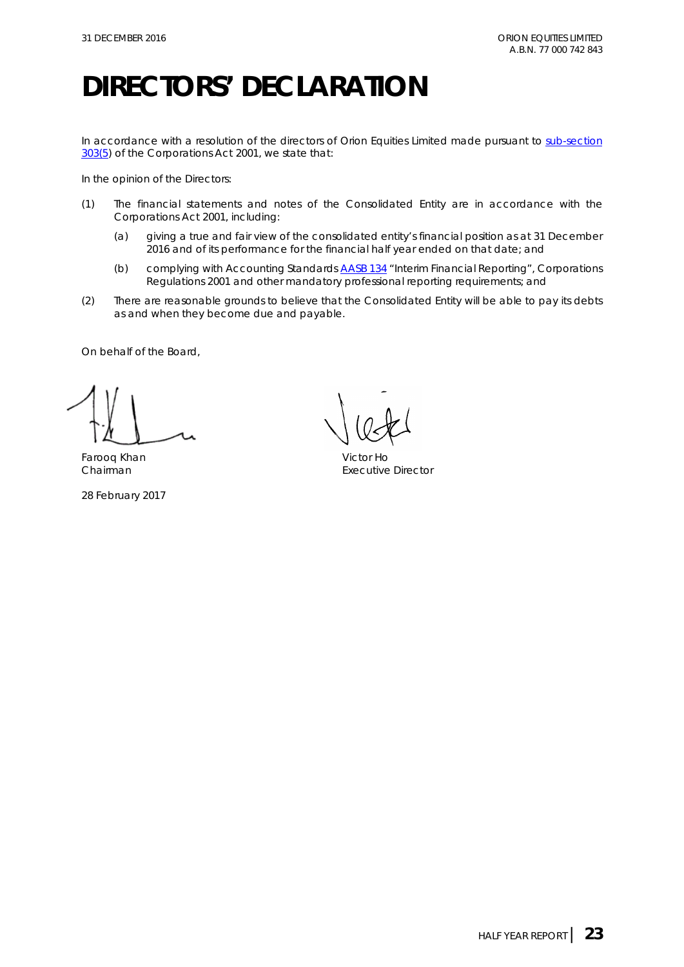# **DIRECTORS' DECLARATION**

In accordance with a resolution of the directors of Orion Equities Limited made pursuant to sub-section [303\(5\)](http://www.austlii.edu.au/au/legis/cth/consol_act/ca2001172/s303.html) of the *Corporations Act 2001*, we state that:

In the opinion of the Directors:

- (1) The financial statements and notes of the Consolidated Entity are in accordance with the *Corporations Act 2001*, including:
	- (a) giving a true and fair view of the consolidated entity's financial position as at 31 December 2016 and of its performance for the financial half year ended on that date; and
	- (b) complying with Accounting Standards [AASB 134](http://www.aasb.gov.au/admin/file/content105/c9/AASB134_08-15_COMPoct15_01-18.pdf) "Interim Financial Reporting", *Corporations Regulations 2001* and other mandatory professional reporting requirements; and
- (2) There are reasonable grounds to believe that the Consolidated Entity will be able to pay its debts as and when they become due and payable.

On behalf of the Board,

Farooq Khan Victor Ho

28 February 2017

Executive Director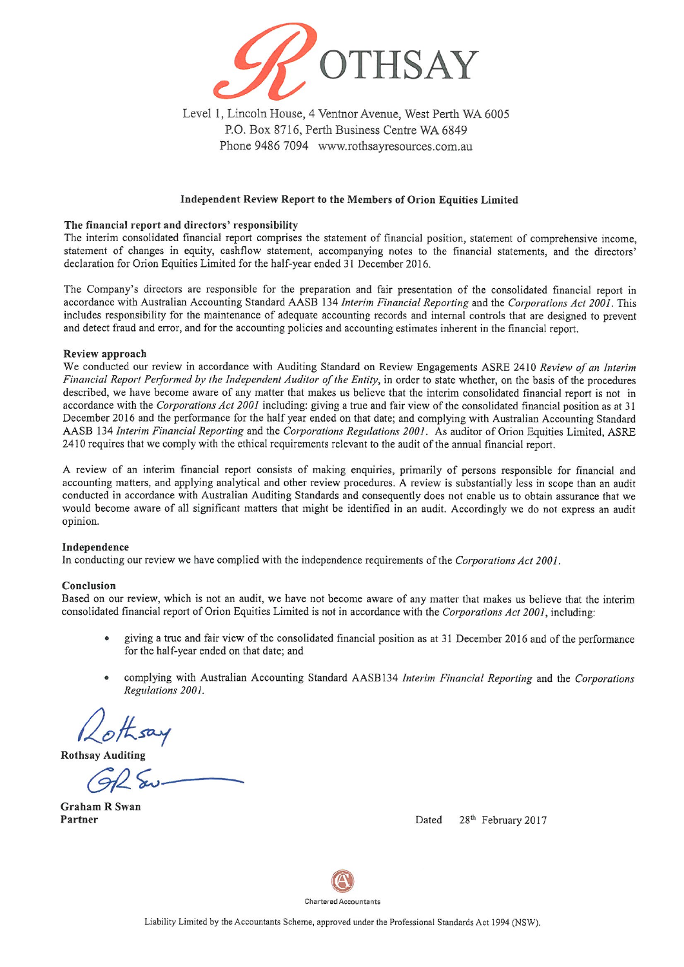

Level 1, Lincoln House, 4 Ventnor Avenue, West Perth WA 6005 P.O. Box 8716, Perth Business Centre WA 6849 Phone 9486 7094 www.rothsayresources.com.au

#### Independent Review Report to the Members of Orion Equities Limited

#### The financial report and directors' responsibility

The interim consolidated financial report comprises the statement of financial position, statement of comprehensive income, statement of changes in equity, cashflow statement, accompanying notes to the financial statements, and the directors' declaration for Orion Equities Limited for the half-year ended 31 December 2016.

The Company's directors are responsible for the preparation and fair presentation of the consolidated financial report in accordance with Australian Accounting Standard AASB 134 Interim Financial Reporting and the Corporations Act 2001. This includes responsibility for the maintenance of adequate accounting records and internal controls that are designed to prevent and detect fraud and error, and for the accounting policies and accounting estimates inherent in the financial report.

#### Review approach

We conducted our review in accordance with Auditing Standard on Review Engagements ASRE 2410 Review of an Interim Financial Report Performed by the Independent Auditor of the Entity, in order to state whether, on the basis of the procedures described, we have become aware of any matter that makes us believe that the interim consolidated financial report is not in accordance with the Corporations Act 2001 including: giving a true and fair view of the consolidated financial position as at 31 December 2016 and the performance for the half year ended on that date; and complying with Australian Accounting Standard AASB 134 Interim Financial Reporting and the Corporations Regulations 2001. As auditor of Orion Equities Limited, ASRE 2410 requires that we comply with the ethical requirements relevant to the audit of the annual financial report.

A review of an interim financial report consists of making enquiries, primarily of persons responsible for financial and accounting matters, and applying analytical and other review procedures. A review is substantially less in scope than an audit conducted in accordance with Australian Auditing Standards and consequently does not enable us to obtain assurance that we would become aware of all significant matters that might be identified in an audit. Accordingly we do not express an audit opinion.

#### Independence

In conducting our review we have complied with the independence requirements of the Corporations Act 2001.

#### Conclusion

Based on our review, which is not an audit, we have not become aware of any matter that makes us believe that the interim consolidated financial report of Orion Equities Limited is not in accordance with the Corporations Act 2001, including:

- giving a true and fair view of the consolidated financial position as at 31 December 2016 and of the performance for the half-year ended on that date; and
- complying with Australian Accounting Standard AASB134 Interim Financial Reporting and the Corporations Regulations 2001.

**Rothsay Auditing** 

**Graham R Swan** Partner

28<sup>th</sup> February 2017 Dated



Liability Limited by the Accountants Scheme, approved under the Professional Standards Act 1994 (NSW).